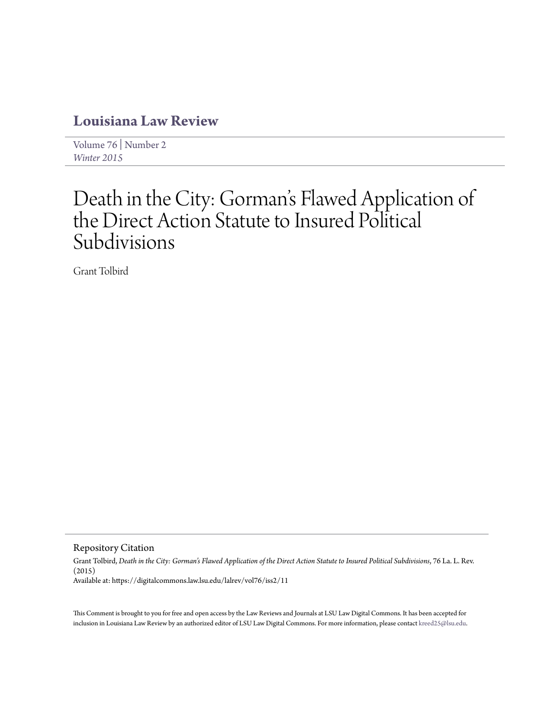# **[Louisiana Law Review](https://digitalcommons.law.lsu.edu/lalrev)**

[Volume 76](https://digitalcommons.law.lsu.edu/lalrev/vol76) | [Number 2](https://digitalcommons.law.lsu.edu/lalrev/vol76/iss2) *[Winter 2015](https://digitalcommons.law.lsu.edu/lalrev/vol76/iss2)*

# Death in the City: Gorman 's Flawed Application of the Direct Action Statute to Insured Political Subdivisions

Grant Tolbird

Repository Citation

Grant Tolbird, *Death in the City: Gorman's Flawed Application of the Direct Action Statute to Insured Political Subdivisions*, 76 La. L. Rev. (2015) Available at: https://digitalcommons.law.lsu.edu/lalrev/vol76/iss2/11

This Comment is brought to you for free and open access by the Law Reviews and Journals at LSU Law Digital Commons. It has been accepted for inclusion in Louisiana Law Review by an authorized editor of LSU Law Digital Commons. For more information, please contact [kreed25@lsu.edu](mailto:kreed25@lsu.edu).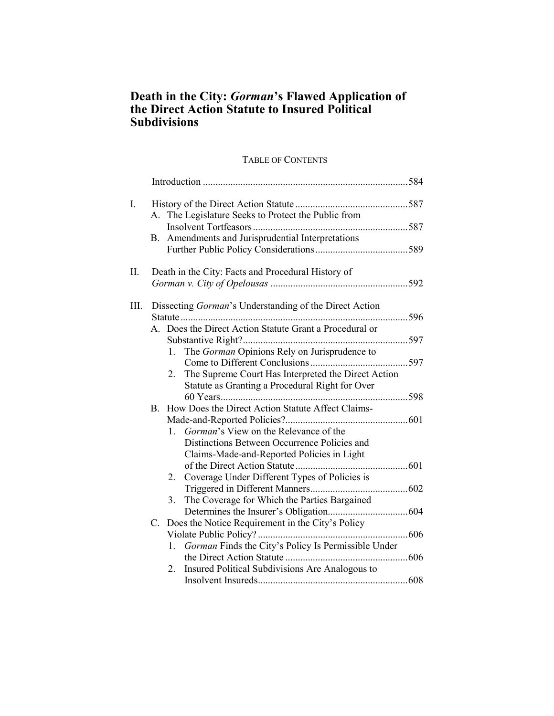## **Death in the City:** *Gorman***'s Flawed Application of the Direct Action Statute to Insured Political Subdivisions**

### TABLE OF CONTENTS

| I.   |  |                                                           |  |  |
|------|--|-----------------------------------------------------------|--|--|
|      |  | A. The Legislature Seeks to Protect the Public from       |  |  |
|      |  |                                                           |  |  |
|      |  | B. Amendments and Jurisprudential Interpretations         |  |  |
|      |  |                                                           |  |  |
| Π.   |  | Death in the City: Facts and Procedural History of        |  |  |
|      |  |                                                           |  |  |
| III. |  | Dissecting Gorman's Understanding of the Direct Action    |  |  |
|      |  |                                                           |  |  |
|      |  | A. Does the Direct Action Statute Grant a Procedural or   |  |  |
|      |  |                                                           |  |  |
|      |  | 1. The Gorman Opinions Rely on Jurisprudence to           |  |  |
|      |  |                                                           |  |  |
|      |  |                                                           |  |  |
|      |  | The Supreme Court Has Interpreted the Direct Action<br>2. |  |  |
|      |  | Statute as Granting a Procedural Right for Over           |  |  |
|      |  |                                                           |  |  |
|      |  | B. How Does the Direct Action Statute Affect Claims-      |  |  |
|      |  |                                                           |  |  |
|      |  | Gorman's View on the Relevance of the<br>1.               |  |  |
|      |  | Distinctions Between Occurrence Policies and              |  |  |
|      |  | Claims-Made-and-Reported Policies in Light                |  |  |
|      |  |                                                           |  |  |
|      |  | Coverage Under Different Types of Policies is<br>2.       |  |  |
|      |  |                                                           |  |  |
|      |  | The Coverage for Which the Parties Bargained<br>3.        |  |  |
|      |  |                                                           |  |  |
|      |  | C. Does the Notice Requirement in the City's Policy       |  |  |
|      |  |                                                           |  |  |
|      |  | Gorman Finds the City's Policy Is Permissible Under<br>1. |  |  |
|      |  |                                                           |  |  |
|      |  | Insured Political Subdivisions Are Analogous to<br>2.     |  |  |
|      |  |                                                           |  |  |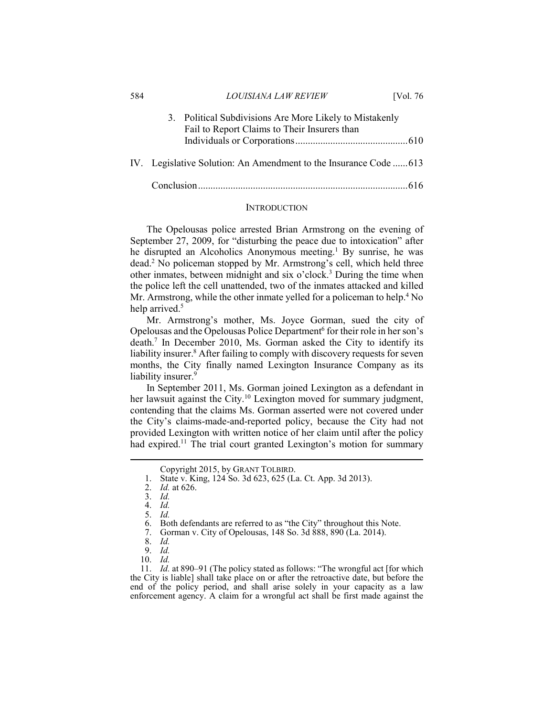| 584 |                                                                   | LOUISIANA LAW REVIEW                                                                                    | [Vol. $76$ |  |  |
|-----|-------------------------------------------------------------------|---------------------------------------------------------------------------------------------------------|------------|--|--|
|     |                                                                   | 3. Political Subdivisions Are More Likely to Mistakenly<br>Fail to Report Claims to Their Insurers than |            |  |  |
|     |                                                                   |                                                                                                         |            |  |  |
|     | IV. Legislative Solution: An Amendment to the Insurance Code  613 |                                                                                                         |            |  |  |
|     |                                                                   |                                                                                                         |            |  |  |

#### **INTRODUCTION**

The Opelousas police arrested Brian Armstrong on the evening of September 27, 2009, for "disturbing the peace due to intoxication" after he disrupted an Alcoholics Anonymous meeting.<sup>1</sup> By sunrise, he was dead.2 No policeman stopped by Mr. Armstrong's cell, which held three other inmates, between midnight and six o'clock.<sup>3</sup> During the time when the police left the cell unattended, two of the inmates attacked and killed Mr. Armstrong, while the other inmate yelled for a policeman to help.<sup>4</sup> No help arrived.<sup>5</sup>

Mr. Armstrong's mother, Ms. Joyce Gorman, sued the city of Opelousas and the Opelousas Police Department<sup>6</sup> for their role in her son's death.7 In December 2010, Ms. Gorman asked the City to identify its liability insurer.<sup>8</sup> After failing to comply with discovery requests for seven months, the City finally named Lexington Insurance Company as its liability insurer.<sup>9</sup>

In September 2011, Ms. Gorman joined Lexington as a defendant in her lawsuit against the City.<sup>10</sup> Lexington moved for summary judgment, contending that the claims Ms. Gorman asserted were not covered under the City's claims-made-and-reported policy, because the City had not provided Lexington with written notice of her claim until after the policy had expired.<sup>11</sup> The trial court granted Lexington's motion for summary

1

10. *Id.*

 11. *Id.* at 890–91 (The policy stated as follows: "The wrongful act [for which the City is liable] shall take place on or after the retroactive date, but before the end of the policy period, and shall arise solely in your capacity as a law enforcement agency. A claim for a wrongful act shall be first made against the

Copyright 2015, by GRANT TOLBIRD. 1. State v. King, 124 So. 3d 623, 625 (La. Ct. App. 3d 2013).

 <sup>2.</sup> *Id.* at 626.

 <sup>3.</sup> *Id.*

 <sup>4.</sup> *Id.*  5. *Id.* 

<sup>6.</sup> Both defendants are referred to as "the City" throughout this Note.<br>7. Gorman v. City of Opelousas. 148 So. 3d 888. 890 (La. 2014).

 <sup>7.</sup> Gorman v. City of Opelousas, 148 So. 3d 888, 890 (La. 2014).

 <sup>8.</sup> *Id.*

 <sup>9.</sup> *Id.*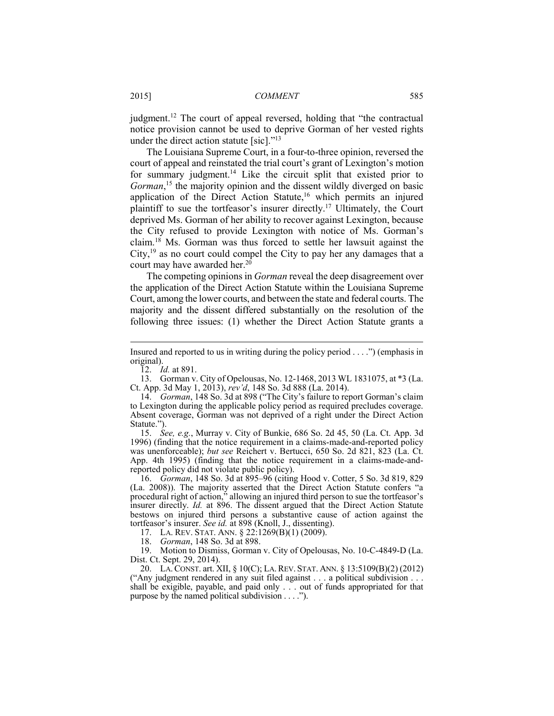judgment.12 The court of appeal reversed, holding that "the contractual notice provision cannot be used to deprive Gorman of her vested rights under the direct action statute [sic]."<sup>13</sup>

The Louisiana Supreme Court, in a four-to-three opinion, reversed the court of appeal and reinstated the trial court's grant of Lexington's motion for summary judgment.<sup>14</sup> Like the circuit split that existed prior to Gorman,<sup>15</sup> the majority opinion and the dissent wildly diverged on basic application of the Direct Action Statute,<sup>16</sup> which permits an injured plaintiff to sue the tortfeasor's insurer directly.17 Ultimately, the Court deprived Ms. Gorman of her ability to recover against Lexington, because the City refused to provide Lexington with notice of Ms. Gorman's claim.18 Ms. Gorman was thus forced to settle her lawsuit against the City, $19$  as no court could compel the City to pay her any damages that a court may have awarded her.<sup>20</sup>

The competing opinions in *Gorman* reveal the deep disagreement over the application of the Direct Action Statute within the Louisiana Supreme Court, among the lower courts, and between the state and federal courts. The majority and the dissent differed substantially on the resolution of the following three issues: (1) whether the Direct Action Statute grants a

12. *Id.* at 891.

<u>.</u>

 13. Gorman v. City of Opelousas, No. 12-1468, 2013 WL 1831075, at \*3 (La. Ct. App. 3d May 1, 2013), *rev'd*, 148 So. 3d 888 (La. 2014).

 15. *See, e.g.*, Murray v. City of Bunkie, 686 So. 2d 45, 50 (La. Ct. App. 3d 1996) (finding that the notice requirement in a claims-made-and-reported policy was unenforceable); *but see* Reichert v. Bertucci, 650 So. 2d 821, 823 (La. Ct. App. 4th 1995) (finding that the notice requirement in a claims-made-andreported policy did not violate public policy).

 16. *Gorman*, 148 So. 3d at 895–96 (citing Hood v. Cotter, 5 So. 3d 819, 829 (La. 2008)). The majority asserted that the Direct Action Statute confers "a procedural right of action," allowing an injured third person to sue the tortfeasor's insurer directly. *Id.* at 896. The dissent argued that the Direct Action Statute bestows on injured third persons a substantive cause of action against the tortfeasor's insurer. *See id.* at 898 (Knoll, J., dissenting).

17. LA. REV. STAT. ANN. § 22:1269(B)(1) (2009).

18. *Gorman*, 148 So. 3d at 898.

 19. Motion to Dismiss, Gorman v. City of Opelousas, No. 10-C-4849-D (La. Dist. Ct. Sept. 29, 2014).

 20. LA. CONST. art. XII, § 10(C); LA. REV. STAT. ANN. § 13:5109(B)(2) (2012) ("Any judgment rendered in any suit filed against . . . a political subdivision . . . shall be exigible, payable, and paid only . . . out of funds appropriated for that purpose by the named political subdivision . . . .").

Insured and reported to us in writing during the policy period . . . .") (emphasis in original).

 <sup>14.</sup> *Gorman*, 148 So. 3d at 898 ("The City's failure to report Gorman's claim to Lexington during the applicable policy period as required precludes coverage. Absent coverage, Gorman was not deprived of a right under the Direct Action Statute.").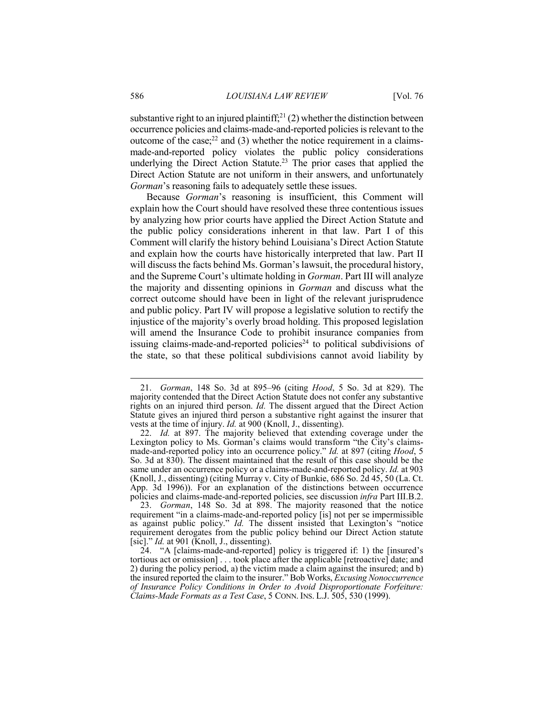substantive right to an injured plaintiff;<sup>21</sup> (2) whether the distinction between occurrence policies and claims-made-and-reported policies is relevant to the outcome of the case; $^{22}$  and (3) whether the notice requirement in a claimsmade-and-reported policy violates the public policy considerations underlying the Direct Action Statute.<sup>23</sup> The prior cases that applied the Direct Action Statute are not uniform in their answers, and unfortunately *Gorman*'s reasoning fails to adequately settle these issues.

Because *Gorman*'s reasoning is insufficient, this Comment will explain how the Court should have resolved these three contentious issues by analyzing how prior courts have applied the Direct Action Statute and the public policy considerations inherent in that law. Part I of this Comment will clarify the history behind Louisiana's Direct Action Statute and explain how the courts have historically interpreted that law. Part II will discuss the facts behind Ms. Gorman's lawsuit, the procedural history, and the Supreme Court's ultimate holding in *Gorman*. Part III will analyze the majority and dissenting opinions in *Gorman* and discuss what the correct outcome should have been in light of the relevant jurisprudence and public policy. Part IV will propose a legislative solution to rectify the injustice of the majority's overly broad holding. This proposed legislation will amend the Insurance Code to prohibit insurance companies from issuing claims-made-and-reported policies<sup>24</sup> to political subdivisions of the state, so that these political subdivisions cannot avoid liability by

 <sup>21.</sup> *Gorman*, 148 So. 3d at 895–96 (citing *Hood*, 5 So. 3d at 829). The majority contended that the Direct Action Statute does not confer any substantive rights on an injured third person. *Id.* The dissent argued that the Direct Action Statute gives an injured third person a substantive right against the insurer that vests at the time of injury. *Id.* at 900 (Knoll, J., dissenting).

 <sup>22.</sup> *Id.* at 897. The majority believed that extending coverage under the Lexington policy to Ms. Gorman's claims would transform "the City's claimsmade-and-reported policy into an occurrence policy." *Id.* at 897 (citing *Hood*, 5 So. 3d at 830). The dissent maintained that the result of this case should be the same under an occurrence policy or a claims-made-and-reported policy. *Id.* at 903 (Knoll, J., dissenting) (citing Murray v. City of Bunkie, 686 So. 2d 45, 50 (La. Ct. App. 3d 1996)). For an explanation of the distinctions between occurrence policies and claims-made-and-reported policies, see discussion *infra* Part III.B.2.

 <sup>23.</sup> *Gorman*, 148 So. 3d at 898. The majority reasoned that the notice requirement "in a claims-made-and-reported policy [is] not per se impermissible as against public policy." *Id.* The dissent insisted that Lexington's "notice requirement derogates from the public policy behind our Direct Action statute [sic]." *Id.* at 901 (Knoll, J., dissenting).

<sup>24. &</sup>quot;A [claims-made-and-reported] policy is triggered if: 1) the [insured's tortious act or omission] . . . took place after the applicable [retroactive] date; and 2) during the policy period, a) the victim made a claim against the insured; and b) the insured reported the claim to the insurer." Bob Works, *Excusing Nonoccurrence of Insurance Policy Conditions in Order to Avoid Disproportionate Forfeiture: Claims-Made Formats as a Test Case*, 5 CONN. INS. L.J. 505, 530 (1999).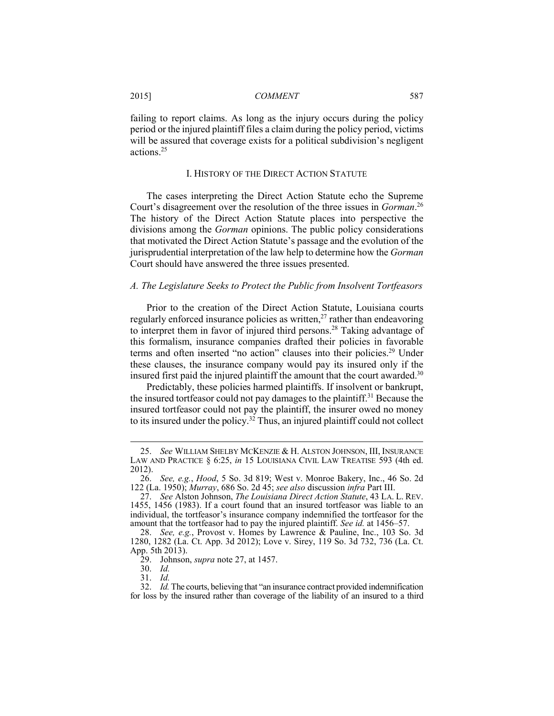failing to report claims. As long as the injury occurs during the policy period or the injured plaintiff files a claim during the policy period, victims will be assured that coverage exists for a political subdivision's negligent actions.25

#### I. HISTORY OF THE DIRECT ACTION STATUTE

The cases interpreting the Direct Action Statute echo the Supreme Court's disagreement over the resolution of the three issues in *Gorman*. 26 The history of the Direct Action Statute places into perspective the divisions among the *Gorman* opinions. The public policy considerations that motivated the Direct Action Statute's passage and the evolution of the jurisprudential interpretation of the law help to determine how the *Gorman* Court should have answered the three issues presented.

#### *A. The Legislature Seeks to Protect the Public from Insolvent Tortfeasors*

Prior to the creation of the Direct Action Statute, Louisiana courts regularly enforced insurance policies as written, $^{27}$  rather than endeavoring to interpret them in favor of injured third persons.28 Taking advantage of this formalism, insurance companies drafted their policies in favorable terms and often inserted "no action" clauses into their policies.<sup>29</sup> Under these clauses, the insurance company would pay its insured only if the insured first paid the injured plaintiff the amount that the court awarded. $30$ 

Predictably, these policies harmed plaintiffs. If insolvent or bankrupt, the insured tortfeasor could not pay damages to the plaintiff.31 Because the insured tortfeasor could not pay the plaintiff, the insurer owed no money to its insured under the policy.<sup>32</sup> Thus, an injured plaintiff could not collect

 <sup>25.</sup> *See* WILLIAM SHELBY MCKENZIE & H. ALSTON JOHNSON, III, INSURANCE LAW AND PRACTICE § 6:25, *in* 15 LOUISIANA CIVIL LAW TREATISE 593 (4th ed. 2012).

 <sup>26.</sup> *See, e.g.*, *Hood*, 5 So. 3d 819; West v. Monroe Bakery, Inc., 46 So. 2d 122 (La. 1950); *Murray*, 686 So. 2d 45; *see also* discussion *infra* Part III.

 <sup>27.</sup> *See* Alston Johnson, *The Louisiana Direct Action Statute*, 43 LA. L. REV. 1455, 1456 (1983). If a court found that an insured tortfeasor was liable to an individual, the tortfeasor's insurance company indemnified the tortfeasor for the amount that the tortfeasor had to pay the injured plaintiff. *See id.* at 1456–57.

 <sup>28.</sup> *See, e.g.*, Provost v. Homes by Lawrence & Pauline, Inc., 103 So. 3d 1280, 1282 (La. Ct. App. 3d 2012); Love v. Sirey, 119 So. 3d 732, 736 (La. Ct. App. 5th 2013).

 <sup>29.</sup> Johnson, *supra* note 27, at 1457.

 <sup>30.</sup> *Id.*

 <sup>31.</sup> *Id.*

 <sup>32.</sup> *Id.* The courts, believing that "an insurance contract provided indemnification for loss by the insured rather than coverage of the liability of an insured to a third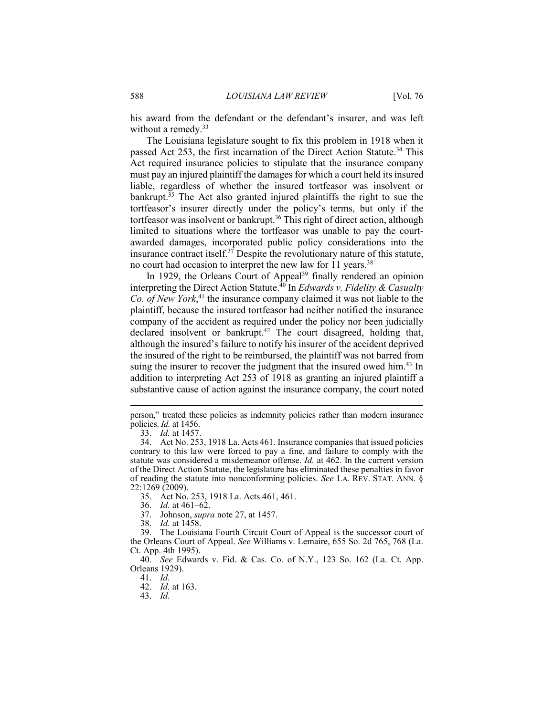his award from the defendant or the defendant's insurer, and was left without a remedy.<sup>33</sup>

The Louisiana legislature sought to fix this problem in 1918 when it passed Act 253, the first incarnation of the Direct Action Statute.<sup>34</sup> This Act required insurance policies to stipulate that the insurance company must pay an injured plaintiff the damages for which a court held its insured liable, regardless of whether the insured tortfeasor was insolvent or bankrupt.<sup>35</sup> The Act also granted injured plaintiffs the right to sue the tortfeasor's insurer directly under the policy's terms, but only if the tortfeasor was insolvent or bankrupt.<sup>36</sup> This right of direct action, although limited to situations where the tortfeasor was unable to pay the courtawarded damages, incorporated public policy considerations into the insurance contract itself. $3<sup>7</sup>$  Despite the revolutionary nature of this statute, no court had occasion to interpret the new law for 11 years.<sup>38</sup>

In 1929, the Orleans Court of Appeal<sup>39</sup> finally rendered an opinion interpreting the Direct Action Statute.40 In *Edwards v. Fidelity & Casualty Co. of New York*, 41 the insurance company claimed it was not liable to the plaintiff, because the insured tortfeasor had neither notified the insurance company of the accident as required under the policy nor been judicially declared insolvent or bankrupt.<sup>42</sup> The court disagreed, holding that, although the insured's failure to notify his insurer of the accident deprived the insured of the right to be reimbursed, the plaintiff was not barred from suing the insurer to recover the judgment that the insured owed him.<sup>43</sup> In addition to interpreting Act 253 of 1918 as granting an injured plaintiff a substantive cause of action against the insurance company, the court noted

- 37. Johnson, *supra* note 27, at 1457.
	- 38. *Id.* at 1458.

person," treated these policies as indemnity policies rather than modern insurance policies. *Id.* at 1456.

 <sup>33.</sup> *Id.* at 1457.

 <sup>34.</sup> Act No. 253, 1918 La. Acts 461. Insurance companies that issued policies contrary to this law were forced to pay a fine, and failure to comply with the statute was considered a misdemeanor offense. *Id.* at 462. In the current version of the Direct Action Statute, the legislature has eliminated these penalties in favor of reading the statute into nonconforming policies. *See* LA. REV. STAT. ANN. § 22:1269 (2009).

 <sup>35.</sup> Act No. 253, 1918 La. Acts 461, 461.

 <sup>36.</sup> *Id.* at 461–62.

 <sup>39.</sup> The Louisiana Fourth Circuit Court of Appeal is the successor court of the Orleans Court of Appeal. *See* Williams v. Lemaire, 655 So. 2d 765, 768 (La. Ct. App. 4th 1995).

 <sup>40.</sup> *See* Edwards v. Fid. & Cas. Co. of N.Y., 123 So. 162 (La. Ct. App. Orleans 1929).

 <sup>41.</sup> *Id.*

 <sup>42.</sup> *Id.* at 163.

 <sup>43.</sup> *Id.*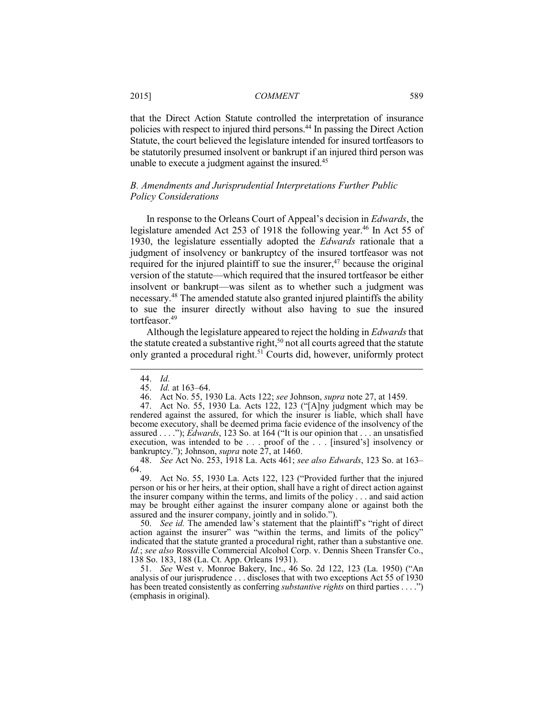that the Direct Action Statute controlled the interpretation of insurance policies with respect to injured third persons.44 In passing the Direct Action Statute, the court believed the legislature intended for insured tortfeasors to be statutorily presumed insolvent or bankrupt if an injured third person was unable to execute a judgment against the insured.<sup>45</sup>

#### *B. Amendments and Jurisprudential Interpretations Further Public Policy Considerations*

In response to the Orleans Court of Appeal's decision in *Edwards*, the legislature amended Act 253 of 1918 the following year.<sup>46</sup> In Act 55 of 1930, the legislature essentially adopted the *Edwards* rationale that a judgment of insolvency or bankruptcy of the insured tortfeasor was not required for the injured plaintiff to sue the insurer, $47$  because the original version of the statute—which required that the insured tortfeasor be either insolvent or bankrupt—was silent as to whether such a judgment was necessary.48 The amended statute also granted injured plaintiffs the ability to sue the insurer directly without also having to sue the insured tortfeasor.<sup>49</sup>

Although the legislature appeared to reject the holding in *Edwards* that the statute created a substantive right,<sup>50</sup> not all courts agreed that the statute only granted a procedural right.51 Courts did, however, uniformly protect

 <sup>44.</sup> *Id.*

 <sup>45.</sup> *Id.* at 163–64.

 <sup>46.</sup> Act No. 55, 1930 La. Acts 122; *see* Johnson, *supra* note 27, at 1459.

 <sup>47.</sup> Act No. 55, 1930 La. Acts 122, 123 ("[A]ny judgment which may be rendered against the assured, for which the insurer is liable, which shall have become executory, shall be deemed prima facie evidence of the insolvency of the assured . . . ."); *Edwards*, 123 So. at 164 ("It is our opinion that . . . an unsatisfied execution, was intended to be . . . proof of the . . . [insured's] insolvency or bankruptcy."); Johnson, *supra* note 27, at 1460.

 <sup>48.</sup> *See* Act No. 253, 1918 La. Acts 461; *see also Edwards*, 123 So. at 163– 64.

 <sup>49.</sup> Act No. 55, 1930 La. Acts 122, 123 ("Provided further that the injured person or his or her heirs, at their option, shall have a right of direct action against the insurer company within the terms, and limits of the policy . . . and said action may be brought either against the insurer company alone or against both the assured and the insurer company, jointly and in solido.").

 <sup>50.</sup> *See id.* The amended law's statement that the plaintiff's "right of direct action against the insurer" was "within the terms, and limits of the policy" indicated that the statute granted a procedural right, rather than a substantive one. *Id.*; *see also* Rossville Commercial Alcohol Corp. v. Dennis Sheen Transfer Co., 138 So. 183, 188 (La. Ct. App. Orleans 1931).

 <sup>51.</sup> *See* West v. Monroe Bakery, Inc., 46 So. 2d 122, 123 (La. 1950) ("An analysis of our jurisprudence . . . discloses that with two exceptions Act 55 of 1930 has been treated consistently as conferring *substantive rights* on third parties . . . .") (emphasis in original).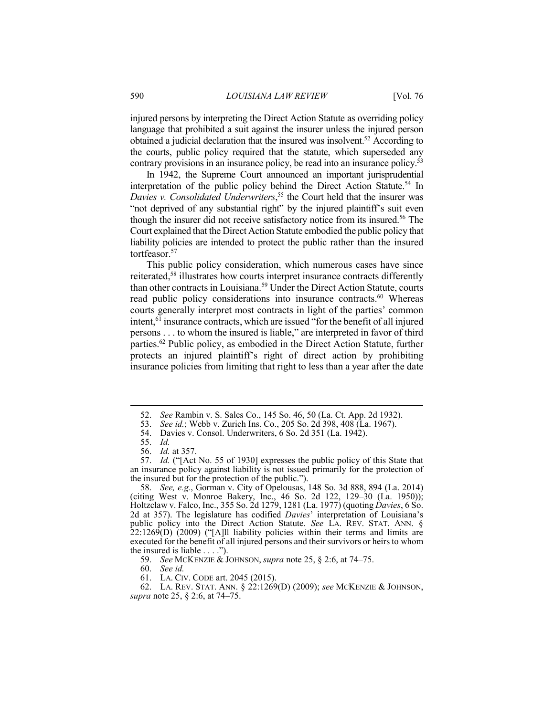injured persons by interpreting the Direct Action Statute as overriding policy language that prohibited a suit against the insurer unless the injured person obtained a judicial declaration that the insured was insolvent.52 According to the courts, public policy required that the statute, which superseded any contrary provisions in an insurance policy, be read into an insurance policy.<sup>53</sup>

In 1942, the Supreme Court announced an important jurisprudential interpretation of the public policy behind the Direct Action Statute.<sup>54</sup> In *Davies v. Consolidated Underwriters*, 55 the Court held that the insurer was "not deprived of any substantial right" by the injured plaintiff's suit even though the insurer did not receive satisfactory notice from its insured.<sup>56</sup> The Court explained that the Direct Action Statute embodied the public policy that liability policies are intended to protect the public rather than the insured tortfeasor.<sup>57</sup>

This public policy consideration, which numerous cases have since reiterated,58 illustrates how courts interpret insurance contracts differently than other contracts in Louisiana.59 Under the Direct Action Statute, courts read public policy considerations into insurance contracts.<sup>60</sup> Whereas courts generally interpret most contracts in light of the parties' common intent,<sup>61</sup> insurance contracts, which are issued "for the benefit of all injured persons . . . to whom the insured is liable," are interpreted in favor of third parties.62 Public policy, as embodied in the Direct Action Statute, further protects an injured plaintiff's right of direct action by prohibiting insurance policies from limiting that right to less than a year after the date

1

59. *See* MCKENZIE & JOHNSON, *supra* note 25, § 2:6, at 74–75.

60. *See id.*

61. LA. CIV. CODE art. 2045 (2015).

 62. LA. REV. STAT. ANN. § 22:1269(D) (2009); *see* MCKENZIE & JOHNSON, *supra* note 25, § 2:6, at 74–75.

 <sup>52.</sup> *See* Rambin v. S. Sales Co., 145 So. 46, 50 (La. Ct. App. 2d 1932).

 <sup>53.</sup> *See id.*; Webb v. Zurich Ins. Co., 205 So. 2d 398, 408 (La. 1967).

 <sup>54.</sup> Davies v. Consol. Underwriters, 6 So. 2d 351 (La. 1942).

 <sup>55.</sup> *Id.*

 <sup>56.</sup> *Id.* at 357.

 <sup>57.</sup> *Id.* ("[Act No. 55 of 1930] expresses the public policy of this State that an insurance policy against liability is not issued primarily for the protection of the insured but for the protection of the public.").

 <sup>58.</sup> *See, e.g.*, Gorman v. City of Opelousas, 148 So. 3d 888, 894 (La. 2014) (citing West v. Monroe Bakery, Inc., 46 So. 2d 122, 129–30 (La. 1950)); Holtzclaw v. Falco, Inc., 355 So. 2d 1279, 1281 (La. 1977) (quoting *Davies*, 6 So. 2d at 357). The legislature has codified *Davies*' interpretation of Louisiana's public policy into the Direct Action Statute. *See* LA. REV. STAT. ANN. §  $22:1269(D)$  (2009) ("[A]ll liability policies within their terms and limits are executed for the benefit of all injured persons and their survivors or heirs to whom the insured is liable  $\dots$ .").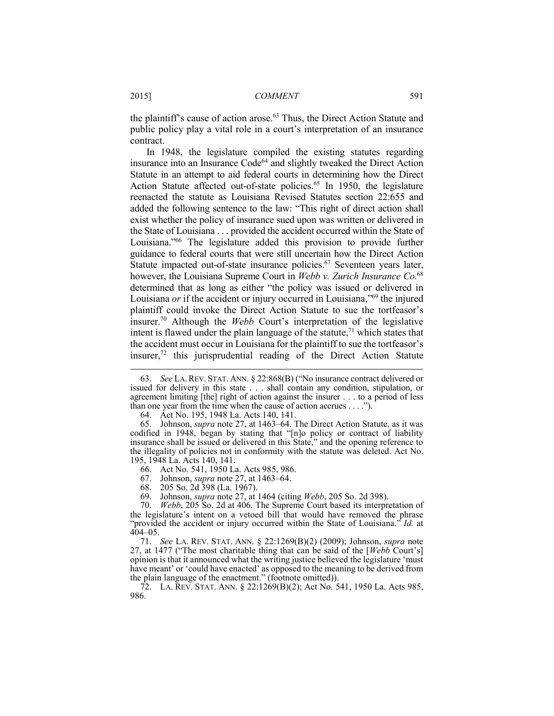the plaintiff's cause of action arose.<sup>63</sup> Thus, the Direct Action Statute and public policy play a vital role in a court's interpretation of an insurance contract.

In 1948, the legislature compiled the existing statutes regarding insurance into an Insurance Code<sup>64</sup> and slightly tweaked the Direct Action Statute in an attempt to aid federal courts in determining how the Direct Action Statute affected out-of-state policies.<sup>65</sup> In 1950, the legislature reenacted the statute as Louisiana Revised Statutes section 22:655 and added the following sentence to the law: "This right of direct action shall exist whether the policy of insurance sued upon was written or delivered in the State of Louisiana . . . provided the accident occurred within the State of Louisiana."66 The legislature added this provision to provide further guidance to federal courts that were still uncertain how the Direct Action Statute impacted out-of-state insurance policies.<sup>67</sup> Seventeen years later, however, the Louisiana Supreme Court in *Webb v. Zurich Insurance Co.*<sup>68</sup> determined that as long as either "the policy was issued or delivered in Louisiana *or* if the accident or injury occurred in Louisiana,<sup>"69</sup> the injured plaintiff could invoke the Direct Action Statute to sue the tortfeasor's insurer.70 Although the *Webb* Court's interpretation of the legislative intent is flawed under the plain language of the statute, $<sup>71</sup>$  which states that</sup> the accident must occur in Louisiana for the plaintiff to sue the tortfeasor's insurer, $72$  this jurisprudential reading of the Direct Action Statute

64. Act No. 195, 1948 La. Acts 140, 141.

 65. Johnson, *supra* note 27, at 1463–64. The Direct Action Statute, as it was codified in 1948, began by stating that "[n]o policy or contract of liability insurance shall be issued or delivered in this State," and the opening reference to the illegality of policies not in conformity with the statute was deleted. Act No. 195, 1948 La. Acts 140, 141.

66. Act No. 541, 1950 La. Acts 985, 986.

67. Johnson, *supra* note 27, at 1463–64.

68. 205 So. 2d 398 (La. 1967).

69. Johnson, *supra* note 27, at 1464 (citing *Webb*, 205 So. 2d 398).

 71. *See* LA. REV. STAT. ANN. § 22:1269(B)(2) (2009); Johnson, *supra* note 27, at 1477 ("The most charitable thing that can be said of the [*Webb* Court's] opinion is that it announced what the writing justice believed the legislature 'must have meant' or 'could have enacted' as opposed to the meaning to be derived from the plain language of the enactment." (footnote omitted)).

 72. LA. REV. STAT. ANN. § 22:1269(B)(2); Act No. 541, 1950 La. Acts 985, 986.

 <sup>63.</sup> *See* LA. REV. STAT. ANN. § 22:868(B) ("No insurance contract delivered or issued for delivery in this state . . . shall contain any condition, stipulation, or agreement limiting [the] right of action against the insurer . . . to a period of less than one year from the time when the cause of action accrues . . . .").

 <sup>70.</sup> *Webb*, 205 So. 2d at 406. The Supreme Court based its interpretation of the legislature's intent on a vetoed bill that would have removed the phrase "provided the accident or injury occurred within the State of Louisiana." *Id.* at  $404 - 05$ .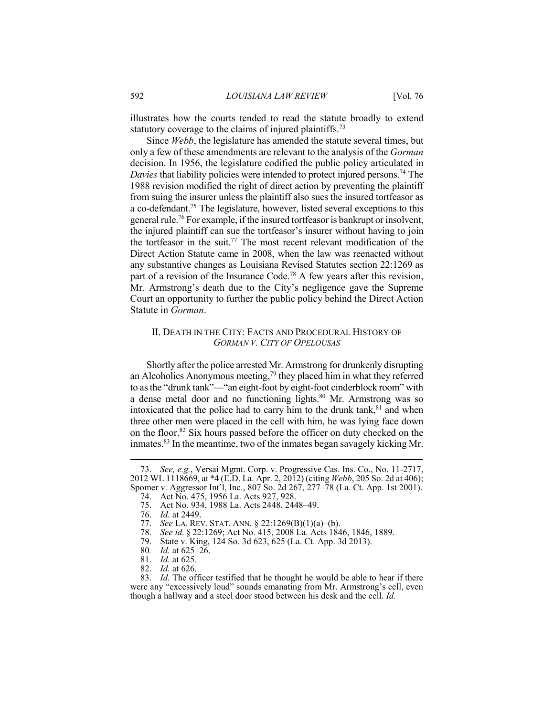illustrates how the courts tended to read the statute broadly to extend statutory coverage to the claims of injured plaintiffs.<sup>73</sup>

Since *Webb*, the legislature has amended the statute several times, but only a few of these amendments are relevant to the analysis of the *Gorman* decision. In 1956, the legislature codified the public policy articulated in *Davies* that liability policies were intended to protect injured persons.<sup>74</sup> The 1988 revision modified the right of direct action by preventing the plaintiff from suing the insurer unless the plaintiff also sues the insured tortfeasor as a co-defendant.75 The legislature, however, listed several exceptions to this general rule.76 For example, if the insured tortfeasor is bankrupt or insolvent, the injured plaintiff can sue the tortfeasor's insurer without having to join the tortfeasor in the suit.<sup>77</sup> The most recent relevant modification of the Direct Action Statute came in 2008, when the law was reenacted without any substantive changes as Louisiana Revised Statutes section 22:1269 as part of a revision of the Insurance Code.<sup>78</sup> A few years after this revision, Mr. Armstrong's death due to the City's negligence gave the Supreme Court an opportunity to further the public policy behind the Direct Action Statute in *Gorman*.

#### II. DEATH IN THE CITY: FACTS AND PROCEDURAL HISTORY OF *GORMAN V. CITY OF OPELOUSAS*

Shortly after the police arrested Mr. Armstrong for drunkenly disrupting an Alcoholics Anonymous meeting,79 they placed him in what they referred to as the "drunk tank"—"an eight-foot by eight-foot cinderblock room" with a dense metal door and no functioning lights.<sup>80</sup> Mr. Armstrong was so intoxicated that the police had to carry him to the drunk tank, $81$  and when three other men were placed in the cell with him, he was lying face down on the floor.82 Six hours passed before the officer on duty checked on the inmates.83 In the meantime, two of the inmates began savagely kicking Mr.

 <sup>73.</sup> *See, e.g.*, Versai Mgmt. Corp. v. Progressive Cas. Ins. Co., No. 11-2717, 2012 WL 1118669, at \*4 (E.D. La. Apr. 2, 2012) (citing *Webb*, 205 So. 2d at 406); Spomer v. Aggressor Int'l, Inc., 807 So. 2d 267, 277–78 (La. Ct. App. 1st 2001).

 <sup>74.</sup> Act No. 475, 1956 La. Acts 927, 928.

 <sup>75.</sup> Act No. 934, 1988 La. Acts 2448, 2448–49.

 <sup>76.</sup> *Id.* at 2449.

 <sup>77.</sup> *See* LA. REV. STAT. ANN. § 22:1269(B)(1)(a)–(b).

 <sup>78.</sup> *See id.* § 22:1269; Act No. 415, 2008 La. Acts 1846, 1846, 1889.

 <sup>79.</sup> State v. King, 124 So. 3d 623, 625 (La. Ct. App. 3d 2013).

<sup>80</sup>*. Id.* at 625–26.

 <sup>81.</sup> *Id.* at 625.

 <sup>82.</sup> *Id.* at 626.

 <sup>83.</sup> *Id.* The officer testified that he thought he would be able to hear if there were any "excessively loud" sounds emanating from Mr. Armstrong's cell, even though a hallway and a steel door stood between his desk and the cell. *Id.*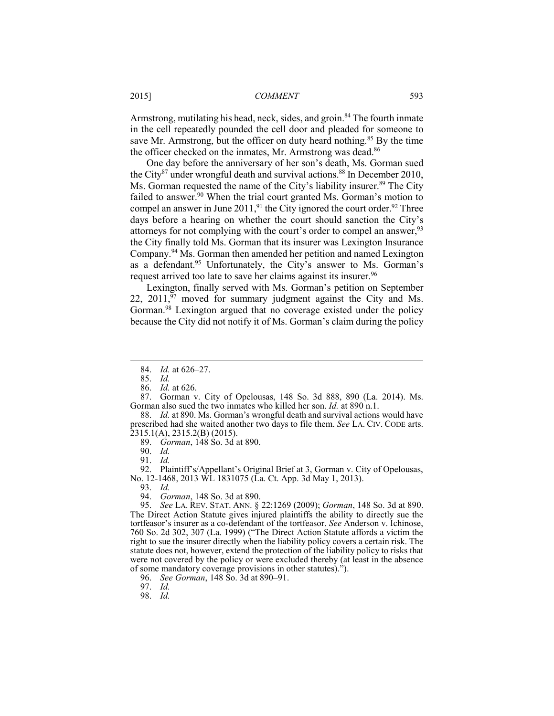Armstrong, mutilating his head, neck, sides, and groin.<sup>84</sup> The fourth inmate in the cell repeatedly pounded the cell door and pleaded for someone to save Mr. Armstrong, but the officer on duty heard nothing.<sup>85</sup> By the time the officer checked on the inmates, Mr. Armstrong was dead.<sup>86</sup>

One day before the anniversary of her son's death, Ms. Gorman sued the City<sup>87</sup> under wrongful death and survival actions.<sup>88</sup> In December 2010, Ms. Gorman requested the name of the City's liability insurer.<sup>89</sup> The City failed to answer.<sup>90</sup> When the trial court granted Ms. Gorman's motion to compel an answer in June  $2011$ ,<sup>91</sup>, the City ignored the court order.<sup>92</sup> Three days before a hearing on whether the court should sanction the City's attorneys for not complying with the court's order to compel an answer,<sup>93</sup> the City finally told Ms. Gorman that its insurer was Lexington Insurance Company.94 Ms. Gorman then amended her petition and named Lexington as a defendant.<sup>95</sup> Unfortunately, the City's answer to Ms. Gorman's request arrived too late to save her claims against its insurer.<sup>96</sup>

Lexington, finally served with Ms. Gorman's petition on September 22,  $2011$ ,  $\frac{57}{7}$  moved for summary judgment against the City and Ms. Gorman.<sup>98</sup> Lexington argued that no coverage existed under the policy because the City did not notify it of Ms. Gorman's claim during the policy

1

93. *Id.* 

98. *Id.*

 <sup>84.</sup> *Id.* at 626–27.

 <sup>85.</sup> *Id.* 

 <sup>86.</sup> *Id.* at 626.

 <sup>87.</sup> Gorman v. City of Opelousas, 148 So. 3d 888, 890 (La. 2014). Ms. Gorman also sued the two inmates who killed her son. *Id.* at 890 n.1.

 <sup>88.</sup> *Id.* at 890. Ms. Gorman's wrongful death and survival actions would have prescribed had she waited another two days to file them. *See* LA. CIV. CODE arts. 2315.1(A), 2315.2(B) (2015).

 <sup>89.</sup> *Gorman*, 148 So. 3d at 890.

 <sup>90.</sup> *Id.*

 <sup>91.</sup> *Id.*

 <sup>92.</sup> Plaintiff's/Appellant's Original Brief at 3, Gorman v. City of Opelousas, No. 12-1468, 2013 WL 1831075 (La. Ct. App. 3d May 1, 2013).

 <sup>94.</sup> *Gorman*, 148 So. 3d at 890.

 <sup>95.</sup> *See* LA. REV. STAT. ANN. § 22:1269 (2009); *Gorman*, 148 So. 3d at 890. The Direct Action Statute gives injured plaintiffs the ability to directly sue the tortfeasor's insurer as a co-defendant of the tortfeasor. *See* Anderson v. Ichinose, 760 So. 2d 302, 307 (La. 1999) ("The Direct Action Statute affords a victim the right to sue the insurer directly when the liability policy covers a certain risk. The statute does not, however, extend the protection of the liability policy to risks that were not covered by the policy or were excluded thereby (at least in the absence of some mandatory coverage provisions in other statutes).").

 <sup>96.</sup> *See Gorman*, 148 So. 3d at 890–91.

 <sup>97.</sup> *Id.*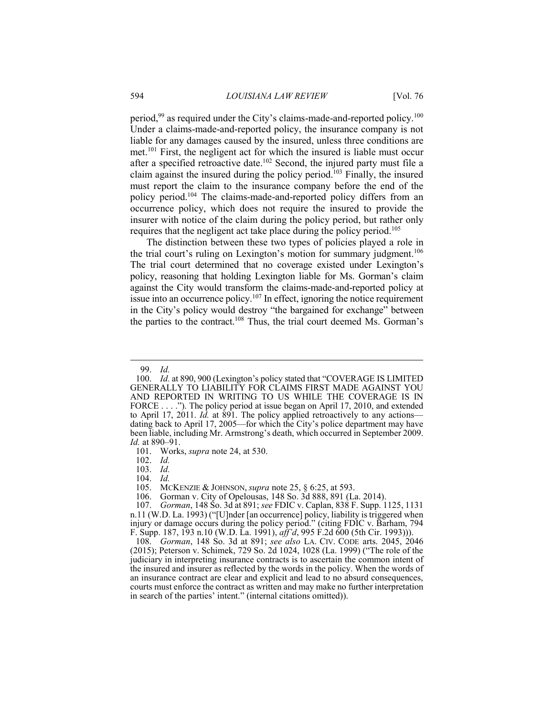period,<sup>99</sup> as required under the City's claims-made-and-reported policy.<sup>100</sup> Under a claims-made-and-reported policy, the insurance company is not liable for any damages caused by the insured, unless three conditions are met.101 First, the negligent act for which the insured is liable must occur after a specified retroactive date.<sup>102</sup> Second, the injured party must file a claim against the insured during the policy period.103 Finally, the insured must report the claim to the insurance company before the end of the policy period.104 The claims-made-and-reported policy differs from an occurrence policy, which does not require the insured to provide the insurer with notice of the claim during the policy period, but rather only requires that the negligent act take place during the policy period.105

The distinction between these two types of policies played a role in the trial court's ruling on Lexington's motion for summary judgment.<sup>106</sup> The trial court determined that no coverage existed under Lexington's policy, reasoning that holding Lexington liable for Ms. Gorman's claim against the City would transform the claims-made-and-reported policy at issue into an occurrence policy.<sup>107</sup> In effect, ignoring the notice requirement in the City's policy would destroy "the bargained for exchange" between the parties to the contract.<sup>108</sup> Thus, the trial court deemed Ms. Gorman's

1

103. *Id.*

104. *Id.*

105. MCKENZIE & JOHNSON, *supra* note 25, § 6:25, at 593.

 <sup>99.</sup> *Id.*

 <sup>100.</sup> *Id.* at 890, 900 (Lexington's policy stated that "COVERAGE IS LIMITED GENERALLY TO LIABILITY FOR CLAIMS FIRST MADE AGAINST YOU AND REPORTED IN WRITING TO US WHILE THE COVERAGE IS IN FORCE . . . ."). The policy period at issue began on April 17, 2010, and extended to April 17, 2011. *Id.* at 891. The policy applied retroactively to any actions dating back to April 17, 2005—for which the City's police department may have been liable, including Mr. Armstrong's death, which occurred in September 2009. *Id.* at 890–91.

 <sup>101.</sup> Works, *supra* note 24, at 530.

 <sup>102.</sup> *Id.*

<sup>106.</sup> Gorman v. City of Opelousas, 148 So. 3d 888, 891 (La. 2014).<br>107. *Gorman*, 148 So. 3d at 891; see FDIC v. Caplan, 838 F. Supp. 1

 <sup>107.</sup> *Gorman*, 148 So. 3d at 891; *see* FDIC v. Caplan, 838 F. Supp. 1125, 1131 n.11 (W.D. La. 1993) ("[U]nder [an occurrence] policy, liability is triggered when injury or damage occurs during the policy period." (citing FDIC v. Barham, 794 F. Supp. 187, 193 n.10 (W.D. La. 1991), *aff'd*, 995 F.2d 600 (5th Cir. 1993))).

 <sup>108.</sup> *Gorman*, 148 So. 3d at 891; *see also* LA. CIV. CODE arts. 2045, 2046 (2015); Peterson v. Schimek, 729 So. 2d 1024, 1028 (La. 1999) ("The role of the judiciary in interpreting insurance contracts is to ascertain the common intent of the insured and insurer as reflected by the words in the policy. When the words of an insurance contract are clear and explicit and lead to no absurd consequences, courts must enforce the contract as written and may make no further interpretation in search of the parties' intent." (internal citations omitted)).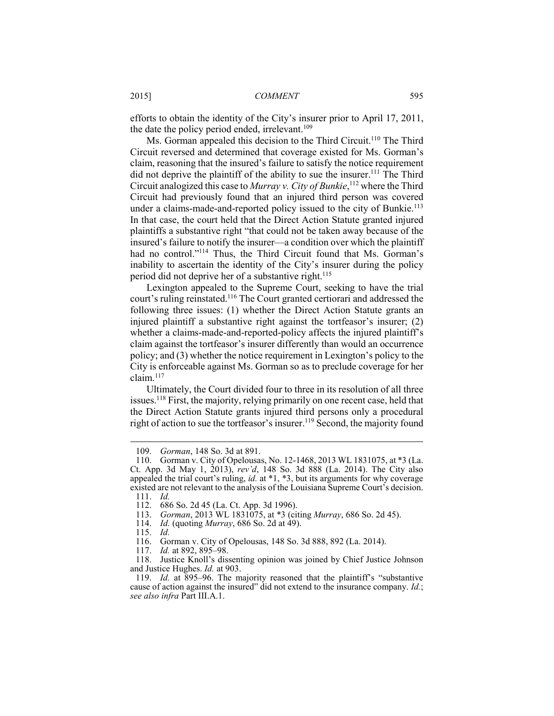efforts to obtain the identity of the City's insurer prior to April 17, 2011, the date the policy period ended, irrelevant.<sup>109</sup>

Ms. Gorman appealed this decision to the Third Circuit.<sup>110</sup> The Third Circuit reversed and determined that coverage existed for Ms. Gorman's claim, reasoning that the insured's failure to satisfy the notice requirement did not deprive the plaintiff of the ability to sue the insurer.<sup>111</sup> The Third Circuit analogized this case to *Murray v. City of Bunkie*, 112 where the Third Circuit had previously found that an injured third person was covered under a claims-made-and-reported policy issued to the city of Bunkie.<sup>113</sup> In that case, the court held that the Direct Action Statute granted injured plaintiffs a substantive right "that could not be taken away because of the insured's failure to notify the insurer—a condition over which the plaintiff had no control."<sup>114</sup> Thus, the Third Circuit found that Ms. Gorman's inability to ascertain the identity of the City's insurer during the policy period did not deprive her of a substantive right.<sup>115</sup>

Lexington appealed to the Supreme Court, seeking to have the trial court's ruling reinstated.116 The Court granted certiorari and addressed the following three issues: (1) whether the Direct Action Statute grants an injured plaintiff a substantive right against the tortfeasor's insurer; (2) whether a claims-made-and-reported-policy affects the injured plaintiff's claim against the tortfeasor's insurer differently than would an occurrence policy; and (3) whether the notice requirement in Lexington's policy to the City is enforceable against Ms. Gorman so as to preclude coverage for her  $claim.<sup>117</sup>$ 

Ultimately, the Court divided four to three in its resolution of all three issues.118 First, the majority, relying primarily on one recent case, held that the Direct Action Statute grants injured third persons only a procedural right of action to sue the tortfeasor's insurer.<sup>119</sup> Second, the majority found

 <sup>109.</sup> *Gorman*, 148 So. 3d at 891.

 <sup>110.</sup> Gorman v. City of Opelousas, No. 12-1468, 2013 WL 1831075, at \*3 (La. Ct. App. 3d May 1, 2013), *rev'd*, 148 So. 3d 888 (La. 2014). The City also appealed the trial court's ruling, *id.* at \*1, \*3, but its arguments for why coverage existed are not relevant to the analysis of the Louisiana Supreme Court's decision.

 <sup>111.</sup> *Id.* 112. 686 So. 2d 45 (La. Ct. App. 3d 1996).<br>113. Gorman, 2013 WL 1831075, at \*3 (ci

 <sup>113.</sup> *Gorman*, 2013 WL 1831075, at \*3 (citing *Murray*, 686 So. 2d 45).

 <sup>114.</sup> *Id.* (quoting *Murray*, 686 So. 2d at 49).

 <sup>115.</sup> *Id.*

 <sup>116.</sup> Gorman v. City of Opelousas, 148 So. 3d 888, 892 (La. 2014).

 <sup>117.</sup> *Id.* at 892, 895–98.

 <sup>118.</sup> Justice Knoll's dissenting opinion was joined by Chief Justice Johnson and Justice Hughes. *Id.* at 903.

 <sup>119.</sup> *Id.* at 895–96. The majority reasoned that the plaintiff's "substantive cause of action against the insured" did not extend to the insurance company. *Id.*; *see also infra* Part III.A.1.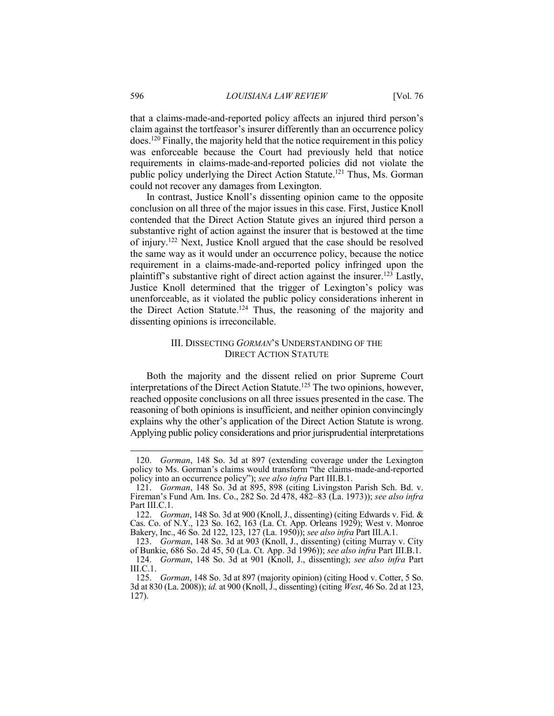that a claims-made-and-reported policy affects an injured third person's claim against the tortfeasor's insurer differently than an occurrence policy does.120 Finally, the majority held that the notice requirement in this policy was enforceable because the Court had previously held that notice requirements in claims-made-and-reported policies did not violate the public policy underlying the Direct Action Statute.121 Thus, Ms. Gorman could not recover any damages from Lexington.

In contrast, Justice Knoll's dissenting opinion came to the opposite conclusion on all three of the major issues in this case. First, Justice Knoll contended that the Direct Action Statute gives an injured third person a substantive right of action against the insurer that is bestowed at the time of injury.122 Next, Justice Knoll argued that the case should be resolved the same way as it would under an occurrence policy, because the notice requirement in a claims-made-and-reported policy infringed upon the plaintiff's substantive right of direct action against the insurer.<sup>123</sup> Lastly, Justice Knoll determined that the trigger of Lexington's policy was unenforceable, as it violated the public policy considerations inherent in the Direct Action Statute.124 Thus, the reasoning of the majority and dissenting opinions is irreconcilable.

#### III. DISSECTING *GORMAN*'S UNDERSTANDING OF THE DIRECT ACTION STATUTE

Both the majority and the dissent relied on prior Supreme Court interpretations of the Direct Action Statute.<sup>125</sup> The two opinions, however, reached opposite conclusions on all three issues presented in the case. The reasoning of both opinions is insufficient, and neither opinion convincingly explains why the other's application of the Direct Action Statute is wrong. Applying public policy considerations and prior jurisprudential interpretations

 <sup>120.</sup> *Gorman*, 148 So. 3d at 897 (extending coverage under the Lexington policy to Ms. Gorman's claims would transform "the claims-made-and-reported policy into an occurrence policy"); *see also infra* Part III.B.1.

 <sup>121.</sup> *Gorman*, 148 So. 3d at 895, 898 (citing Livingston Parish Sch. Bd. v. Fireman's Fund Am. Ins. Co., 282 So. 2d 478, 482–83 (La. 1973)); *see also infra*  Part III.C.1.

 <sup>122.</sup> *Gorman*, 148 So. 3d at 900 (Knoll, J., dissenting) (citing Edwards v. Fid. & Cas. Co. of N.Y., 123 So. 162, 163 (La. Ct. App. Orleans 1929); West v. Monroe Bakery, Inc., 46 So. 2d 122, 123, 127 (La. 1950)); *see also infra* Part III.A.1.

 <sup>123.</sup> *Gorman*, 148 So. 3d at 903 (Knoll, J., dissenting) (citing Murray v. City of Bunkie, 686 So. 2d 45, 50 (La. Ct. App. 3d 1996)); *see also infra* Part III.B.1. 124. *Gorman*, 148 So. 3d at 901 (Knoll, J., dissenting); *see also infra* Part III.C.1.

 <sup>125.</sup> *Gorman*, 148 So. 3d at 897 (majority opinion) (citing Hood v. Cotter, 5 So. 3d at 830 (La. 2008)); *id.* at 900 (Knoll, J., dissenting) (citing *West*, 46 So. 2d at 123, 127).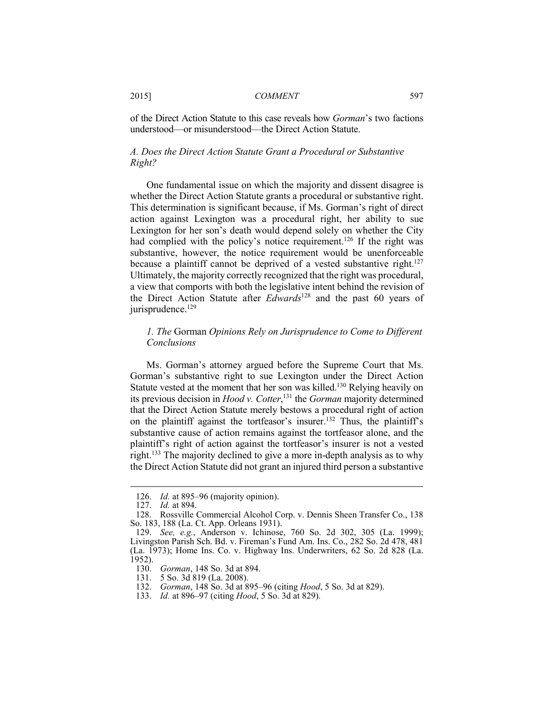of the Direct Action Statute to this case reveals how *Gorman*'s two factions understood—or misunderstood—the Direct Action Statute.

#### *A. Does the Direct Action Statute Grant a Procedural or Substantive Right?*

One fundamental issue on which the majority and dissent disagree is whether the Direct Action Statute grants a procedural or substantive right. This determination is significant because, if Ms. Gorman's right of direct action against Lexington was a procedural right, her ability to sue Lexington for her son's death would depend solely on whether the City had complied with the policy's notice requirement.<sup>126</sup> If the right was substantive, however, the notice requirement would be unenforceable because a plaintiff cannot be deprived of a vested substantive right.<sup>127</sup> Ultimately, the majority correctly recognized that the right was procedural, a view that comports with both the legislative intent behind the revision of the Direct Action Statute after *Edwards*128 and the past 60 years of jurisprudence.<sup>129</sup>

#### *1. The* Gorman *Opinions Rely on Jurisprudence to Come to Different Conclusions*

Ms. Gorman's attorney argued before the Supreme Court that Ms. Gorman's substantive right to sue Lexington under the Direct Action Statute vested at the moment that her son was killed.<sup>130</sup> Relying heavily on its previous decision in *Hood v. Cotter*, 131 the *Gorman* majority determined that the Direct Action Statute merely bestows a procedural right of action on the plaintiff against the tortfeasor's insurer.132 Thus, the plaintiff's substantive cause of action remains against the tortfeasor alone, and the plaintiff's right of action against the tortfeasor's insurer is not a vested right.133 The majority declined to give a more in-depth analysis as to why the Direct Action Statute did not grant an injured third person a substantive

 <sup>126.</sup> *Id.* at 895–96 (majority opinion).

 <sup>127.</sup> *Id.* at 894.

 <sup>128.</sup> Rossville Commercial Alcohol Corp. v. Dennis Sheen Transfer Co., 138 So. 183, 188 (La. Ct. App. Orleans 1931).

 <sup>129.</sup> *See, e.g.*, Anderson v. Ichinose, 760 So. 2d 302, 305 (La. 1999); Livingston Parish Sch. Bd. v. Fireman's Fund Am. Ins. Co., 282 So. 2d 478, 481 (La. 1973); Home Ins. Co. v. Highway Ins. Underwriters, 62 So. 2d 828 (La. 1952).

 <sup>130.</sup> *Gorman*, 148 So. 3d at 894.

 <sup>131. 5</sup> So. 3d 819 (La. 2008).

 <sup>132.</sup> *Gorman*, 148 So. 3d at 895–96 (citing *Hood*, 5 So. 3d at 829).

 <sup>133.</sup> *Id.* at 896–97 (citing *Hood*, 5 So. 3d at 829).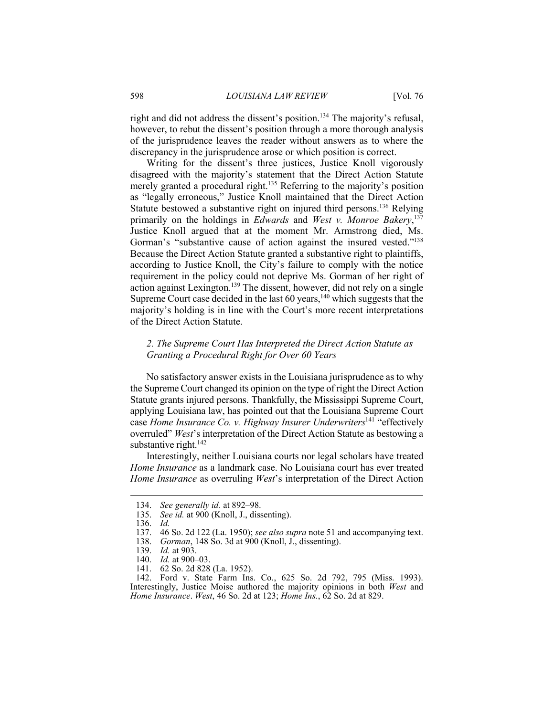right and did not address the dissent's position.<sup>134</sup> The majority's refusal, however, to rebut the dissent's position through a more thorough analysis of the jurisprudence leaves the reader without answers as to where the discrepancy in the jurisprudence arose or which position is correct.

Writing for the dissent's three justices, Justice Knoll vigorously disagreed with the majority's statement that the Direct Action Statute merely granted a procedural right.<sup>135</sup> Referring to the majority's position as "legally erroneous," Justice Knoll maintained that the Direct Action Statute bestowed a substantive right on injured third persons.<sup>136</sup> Relying primarily on the holdings in *Edwards* and *West v. Monroe Bakery*, 137 Justice Knoll argued that at the moment Mr. Armstrong died, Ms. Gorman's "substantive cause of action against the insured vested."<sup>138</sup> Because the Direct Action Statute granted a substantive right to plaintiffs, according to Justice Knoll, the City's failure to comply with the notice requirement in the policy could not deprive Ms. Gorman of her right of action against Lexington.139 The dissent, however, did not rely on a single Supreme Court case decided in the last  $60$  years,<sup>140</sup> which suggests that the majority's holding is in line with the Court's more recent interpretations of the Direct Action Statute.

#### *2. The Supreme Court Has Interpreted the Direct Action Statute as Granting a Procedural Right for Over 60 Years*

No satisfactory answer exists in the Louisiana jurisprudence as to why the Supreme Court changed its opinion on the type of right the Direct Action Statute grants injured persons. Thankfully, the Mississippi Supreme Court, applying Louisiana law, has pointed out that the Louisiana Supreme Court case *Home Insurance Co. v. Highway Insurer Underwriters*141 "effectively overruled" *West*'s interpretation of the Direct Action Statute as bestowing a substantive right.<sup>142</sup>

Interestingly, neither Louisiana courts nor legal scholars have treated *Home Insurance* as a landmark case. No Louisiana court has ever treated *Home Insurance* as overruling *West*'s interpretation of the Direct Action

1

141. 62 So. 2d 828 (La. 1952).

 <sup>134.</sup> *See generally id.* at 892–98.

See id. at 900 (Knoll, J., dissenting).

 <sup>136.</sup> *Id.*

 <sup>137. 46</sup> So. 2d 122 (La. 1950); *see also supra* note 51 and accompanying text.

 <sup>138.</sup> *Gorman*, 148 So. 3d at 900 (Knoll, J., dissenting).

 <sup>139.</sup> *Id.* at 903.

 <sup>140.</sup> *Id.* at 900–03.

 <sup>142.</sup> Ford v. State Farm Ins. Co., 625 So. 2d 792, 795 (Miss. 1993). Interestingly, Justice Moise authored the majority opinions in both *West* and *Home Insurance*. *West*, 46 So. 2d at 123; *Home Ins.*, 62 So. 2d at 829.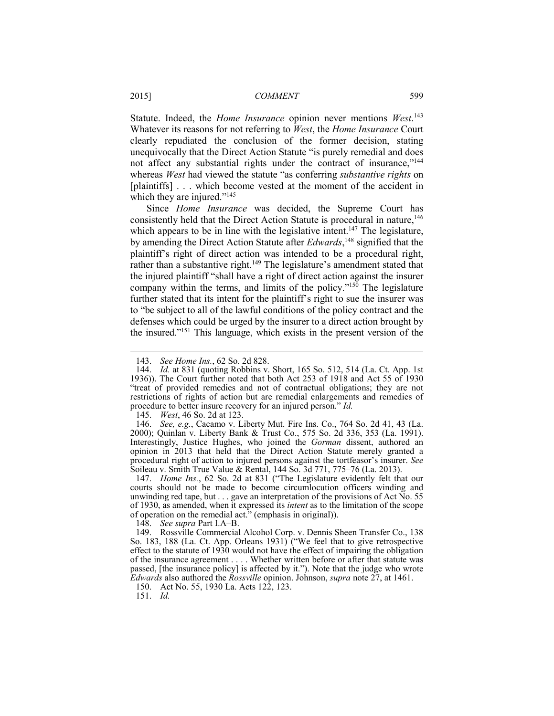Statute. Indeed, the *Home Insurance* opinion never mentions *West*. 143 Whatever its reasons for not referring to *West*, the *Home Insurance* Court clearly repudiated the conclusion of the former decision, stating unequivocally that the Direct Action Statute "is purely remedial and does not affect any substantial rights under the contract of insurance,"<sup>144</sup> whereas *West* had viewed the statute "as conferring *substantive rights* on [plaintiffs] . . . which become vested at the moment of the accident in which they are injured."<sup>145</sup>

Since *Home Insurance* was decided, the Supreme Court has consistently held that the Direct Action Statute is procedural in nature,<sup>146</sup> which appears to be in line with the legislative intent.<sup>147</sup> The legislature, by amending the Direct Action Statute after *Edwards*, 148 signified that the plaintiff's right of direct action was intended to be a procedural right, rather than a substantive right.<sup>149</sup> The legislature's amendment stated that the injured plaintiff "shall have a right of direct action against the insurer company within the terms, and limits of the policy."<sup>150</sup> The legislature further stated that its intent for the plaintiff's right to sue the insurer was to "be subject to all of the lawful conditions of the policy contract and the defenses which could be urged by the insurer to a direct action brought by the insured."151 This language, which exists in the present version of the

148. *See supra* Part I.A–B.

 149. Rossville Commercial Alcohol Corp. v. Dennis Sheen Transfer Co., 138 So. 183, 188 (La. Ct. App. Orleans 1931) ("We feel that to give retrospective effect to the statute of 1930 would not have the effect of impairing the obligation of the insurance agreement . . . . Whether written before or after that statute was passed, [the insurance policy] is affected by it."). Note that the judge who wrote *Edwards* also authored the *Rossville* opinion. Johnson, *supra* note 27, at 1461.

150. Act No. 55, 1930 La. Acts 122, 123.

151. *Id.* 

 <sup>143.</sup> *See Home Ins.*, 62 So. 2d 828.

 <sup>144.</sup> *Id.* at 831 (quoting Robbins v. Short, 165 So. 512, 514 (La. Ct. App. 1st 1936)). The Court further noted that both Act 253 of 1918 and Act 55 of 1930 "treat of provided remedies and not of contractual obligations; they are not restrictions of rights of action but are remedial enlargements and remedies of procedure to better insure recovery for an injured person." *Id.*

 <sup>145.</sup> *West*, 46 So. 2d at 123.

 <sup>146.</sup> *See, e.g.*, Cacamo v. Liberty Mut. Fire Ins. Co., 764 So. 2d 41, 43 (La. 2000); Quinlan v. Liberty Bank & Trust Co., 575 So. 2d 336, 353 (La. 1991). Interestingly, Justice Hughes, who joined the *Gorman* dissent, authored an opinion in 2013 that held that the Direct Action Statute merely granted a procedural right of action to injured persons against the tortfeasor's insurer. *See* Soileau v. Smith True Value & Rental, 144 So. 3d 771, 775–76 (La. 2013).

 <sup>147.</sup> *Home Ins.*, 62 So. 2d at 831 ("The Legislature evidently felt that our courts should not be made to become circumlocution officers winding and unwinding red tape, but  $\dots$  gave an interpretation of the provisions of Act No. 55 of 1930, as amended, when it expressed its *intent* as to the limitation of the scope of operation on the remedial act." (emphasis in original)).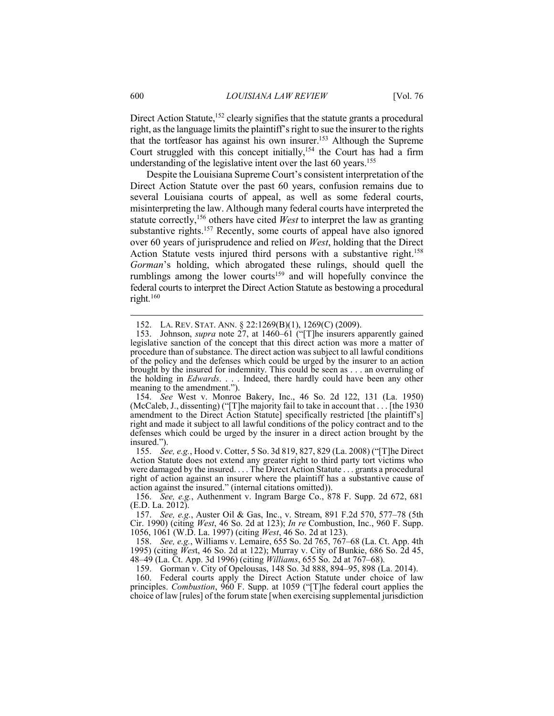Direct Action Statute,<sup>152</sup> clearly signifies that the statute grants a procedural right, as the language limits the plaintiff's right to sue the insurer to the rights that the tortfeasor has against his own insurer.153 Although the Supreme Court struggled with this concept initially,  $154$  the Court has had a firm understanding of the legislative intent over the last 60 years.<sup>155</sup>

Despite the Louisiana Supreme Court's consistent interpretation of the Direct Action Statute over the past 60 years, confusion remains due to several Louisiana courts of appeal, as well as some federal courts, misinterpreting the law. Although many federal courts have interpreted the statute correctly,<sup>156</sup> others have cited *West* to interpret the law as granting substantive rights.<sup>157</sup> Recently, some courts of appeal have also ignored over 60 years of jurisprudence and relied on *West*, holding that the Direct Action Statute vests injured third persons with a substantive right.<sup>158</sup> *Gorman*'s holding, which abrogated these rulings, should quell the rumblings among the lower courts<sup>159</sup> and will hopefully convince the federal courts to interpret the Direct Action Statute as bestowing a procedural right.160

 <sup>152.</sup> LA. REV. STAT. ANN. § 22:1269(B)(1), 1269(C) (2009).

 <sup>153.</sup> Johnson, *supra* note 27, at 1460–61 ("[T]he insurers apparently gained legislative sanction of the concept that this direct action was more a matter of procedure than of substance. The direct action was subject to all lawful conditions of the policy and the defenses which could be urged by the insurer to an action brought by the insured for indemnity. This could be seen as . . . an overruling of the holding in *Edwards*. . . . Indeed, there hardly could have been any other meaning to the amendment.").

 <sup>154.</sup> *See* West v. Monroe Bakery, Inc., 46 So. 2d 122, 131 (La. 1950) (McCaleb, J., dissenting) ("[T]he majority fail to take in account that . . . [the 1930 amendment to the Direct Action Statute] specifically restricted [the plaintiff's] right and made it subject to all lawful conditions of the policy contract and to the defenses which could be urged by the insurer in a direct action brought by the insured.").

 <sup>155.</sup> *See, e.g.*, Hood v. Cotter, 5 So. 3d 819, 827, 829 (La. 2008) ("[T]he Direct Action Statute does not extend any greater right to third party tort victims who were damaged by the insured. . . . The Direct Action Statute . . . grants a procedural right of action against an insurer where the plaintiff has a substantive cause of action against the insured." (internal citations omitted)).

 <sup>156.</sup> *See, e.g.*, Authenment v. Ingram Barge Co., 878 F. Supp. 2d 672, 681 (E.D. La. 2012).

 <sup>157.</sup> *See, e.g.*, Auster Oil & Gas, Inc., v. Stream, 891 F.2d 570, 577–78 (5th Cir. 1990) (citing *West*, 46 So. 2d at 123); *In re* Combustion, Inc., 960 F. Supp. 1056, 1061 (W.D. La. 1997) (citing *West*, 46 So. 2d at 123).

 <sup>158.</sup> *See, e.g.*, Williams v. Lemaire, 655 So. 2d 765, 767–68 (La. Ct. App. 4th 1995) (citing *Wes*t, 46 So. 2d at 122); Murray v. City of Bunkie, 686 So. 2d 45, 48–49 (La. Ct. App. 3d 1996) (citing *Williams*, 655 So. 2d at 767–68).

 <sup>159.</sup> Gorman v. City of Opelousas, 148 So. 3d 888, 894–95, 898 (La. 2014).

 <sup>160.</sup> Federal courts apply the Direct Action Statute under choice of law principles. *Combustion*, 960 F. Supp. at 1059 ("[T]he federal court applies the choice of law [rules] of the forum state [when exercising supplemental jurisdiction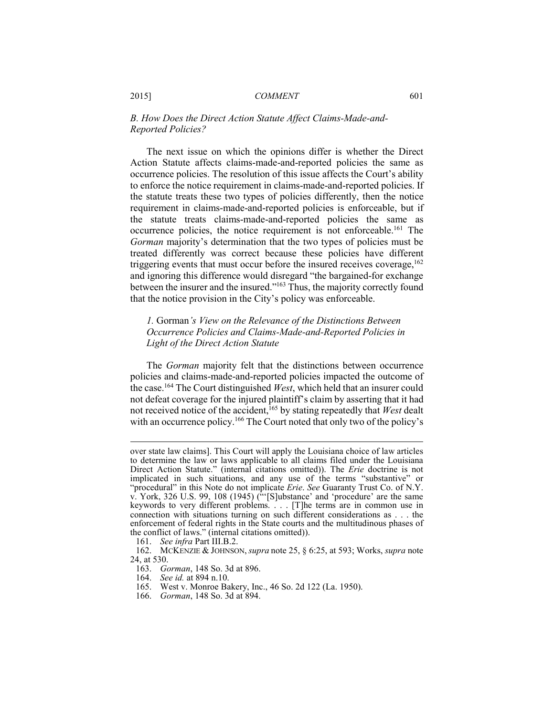#### *B. How Does the Direct Action Statute Affect Claims-Made-and-Reported Policies?*

The next issue on which the opinions differ is whether the Direct Action Statute affects claims-made-and-reported policies the same as occurrence policies. The resolution of this issue affects the Court's ability to enforce the notice requirement in claims-made-and-reported policies. If the statute treats these two types of policies differently, then the notice requirement in claims-made-and-reported policies is enforceable, but if the statute treats claims-made-and-reported policies the same as occurrence policies, the notice requirement is not enforceable.161 The *Gorman* majority's determination that the two types of policies must be treated differently was correct because these policies have different triggering events that must occur before the insured receives coverage,  $162$ and ignoring this difference would disregard "the bargained-for exchange between the insurer and the insured."<sup>163</sup> Thus, the majority correctly found that the notice provision in the City's policy was enforceable.

#### *1.* Gorman*'s View on the Relevance of the Distinctions Between Occurrence Policies and Claims-Made-and-Reported Policies in Light of the Direct Action Statute*

The *Gorman* majority felt that the distinctions between occurrence policies and claims-made-and-reported policies impacted the outcome of the case.164 The Court distinguished *West*, which held that an insurer could not defeat coverage for the injured plaintiff's claim by asserting that it had not received notice of the accident,<sup>165</sup> by stating repeatedly that *West* dealt with an occurrence policy.<sup>166</sup> The Court noted that only two of the policy's

- 164. *See id.* at 894 n.10. West v. Monroe Bakery, Inc., 46 So. 2d 122 (La. 1950).
- 166. *Gorman*, 148 So. 3d at 894.

over state law claims]. This Court will apply the Louisiana choice of law articles to determine the law or laws applicable to all claims filed under the Louisiana Direct Action Statute." (internal citations omitted)). The *Erie* doctrine is not implicated in such situations, and any use of the terms "substantive" or "procedural" in this Note do not implicate *Erie*. *See* Guaranty Trust Co. of N.Y. v. York, 326 U.S. 99, 108 (1945)  $\left(\frac{1000}{100}\right)$  and 'procedure' are the same keywords to very different problems. . . . [T]he terms are in common use in connection with situations turning on such different considerations as . . . the enforcement of federal rights in the State courts and the multitudinous phases of the conflict of laws." (internal citations omitted)).

 <sup>161.</sup> *See infra* Part III.B.2.

 <sup>162.</sup> MCKENZIE & JOHNSON, *supra* note 25, § 6:25, at 593; Works, *supra* note 24, at 530.

 <sup>163.</sup> *Gorman*, 148 So. 3d at 896.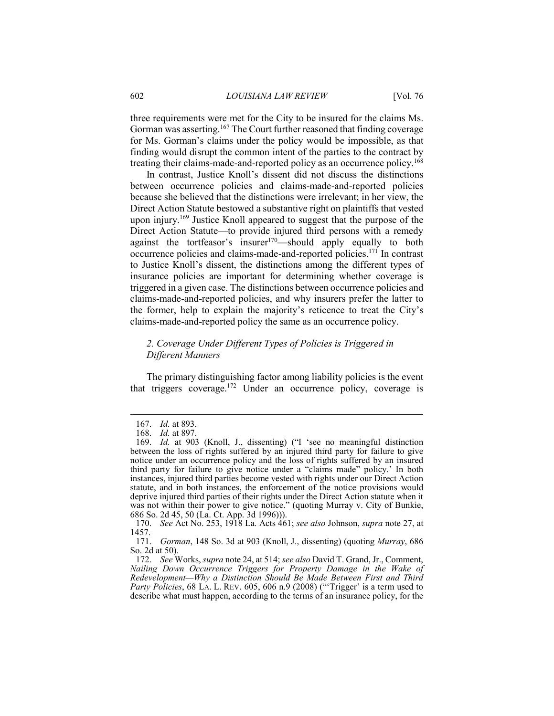three requirements were met for the City to be insured for the claims Ms. Gorman was asserting.<sup>167</sup> The Court further reasoned that finding coverage for Ms. Gorman's claims under the policy would be impossible, as that finding would disrupt the common intent of the parties to the contract by treating their claims-made-and-reported policy as an occurrence policy.<sup>168</sup>

In contrast, Justice Knoll's dissent did not discuss the distinctions between occurrence policies and claims-made-and-reported policies because she believed that the distinctions were irrelevant; in her view, the Direct Action Statute bestowed a substantive right on plaintiffs that vested upon injury.169 Justice Knoll appeared to suggest that the purpose of the Direct Action Statute—to provide injured third persons with a remedy against the tortfeasor's insurer<sup>170</sup>—should apply equally to both occurrence policies and claims-made-and-reported policies.171 In contrast to Justice Knoll's dissent, the distinctions among the different types of insurance policies are important for determining whether coverage is triggered in a given case. The distinctions between occurrence policies and claims-made-and-reported policies, and why insurers prefer the latter to the former, help to explain the majority's reticence to treat the City's claims-made-and-reported policy the same as an occurrence policy.

#### *2. Coverage Under Different Types of Policies is Triggered in Different Manners*

The primary distinguishing factor among liability policies is the event that triggers coverage.172 Under an occurrence policy, coverage is

 <sup>167.</sup> *Id.* at 893.

 <sup>168.</sup> *Id.* at 897.

 <sup>169.</sup> *Id.* at 903 (Knoll, J., dissenting) ("I 'see no meaningful distinction between the loss of rights suffered by an injured third party for failure to give notice under an occurrence policy and the loss of rights suffered by an insured third party for failure to give notice under a "claims made" policy.' In both instances, injured third parties become vested with rights under our Direct Action statute, and in both instances, the enforcement of the notice provisions would deprive injured third parties of their rights under the Direct Action statute when it was not within their power to give notice." (quoting Murray v. City of Bunkie, 686 So. 2d 45, 50 (La. Ct. App. 3d 1996))).

 <sup>170.</sup> *See* Act No. 253, 1918 La. Acts 461; *see also* Johnson, *supra* note 27, at 1457.<br>171.

 <sup>171.</sup> *Gorman*, 148 So. 3d at 903 (Knoll, J., dissenting) (quoting *Murray*, 686 So. 2d at 50).

 <sup>172.</sup> *See* Works, *supra* note 24, at 514; *see also* David T. Grand, Jr., Comment, *Nailing Down Occurrence Triggers for Property Damage in the Wake of Redevelopment—Why a Distinction Should Be Made Between First and Third Party Policies*, 68 LA. L. REV. 605, 606 n.9 (2008) ("'Trigger' is a term used to describe what must happen, according to the terms of an insurance policy, for the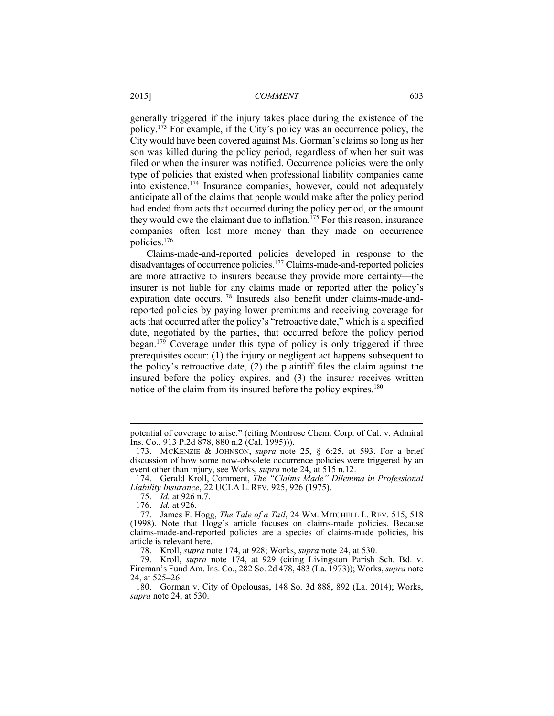generally triggered if the injury takes place during the existence of the policy.173 For example, if the City's policy was an occurrence policy, the City would have been covered against Ms. Gorman's claims so long as her son was killed during the policy period, regardless of when her suit was filed or when the insurer was notified. Occurrence policies were the only type of policies that existed when professional liability companies came into existence.174 Insurance companies, however, could not adequately anticipate all of the claims that people would make after the policy period had ended from acts that occurred during the policy period, or the amount they would owe the claimant due to inflation.<sup> $175$ </sup> For this reason, insurance companies often lost more money than they made on occurrence policies.176

Claims-made-and-reported policies developed in response to the disadvantages of occurrence policies.177 Claims-made-and-reported policies are more attractive to insurers because they provide more certainty—the insurer is not liable for any claims made or reported after the policy's expiration date occurs.178 Insureds also benefit under claims-made-andreported policies by paying lower premiums and receiving coverage for acts that occurred after the policy's "retroactive date," which is a specified date, negotiated by the parties, that occurred before the policy period began.<sup>179</sup> Coverage under this type of policy is only triggered if three prerequisites occur: (1) the injury or negligent act happens subsequent to the policy's retroactive date, (2) the plaintiff files the claim against the insured before the policy expires, and (3) the insurer receives written notice of the claim from its insured before the policy expires.<sup>180</sup>

potential of coverage to arise." (citing Montrose Chem. Corp. of Cal. v. Admiral Ins. Co., 913 P.2d 878, 880 n.2 (Cal. 1995))).

 <sup>173.</sup> MCKENZIE & JOHNSON, *supra* note 25, § 6:25, at 593. For a brief discussion of how some now-obsolete occurrence policies were triggered by an event other than injury, see Works, *supra* note 24, at 515 n.12.

 <sup>174.</sup> Gerald Kroll, Comment, *The "Claims Made" Dilemma in Professional Liability Insurance*, 22 UCLA L. REV. 925, 926 (1975).

 <sup>175.</sup> *Id.* at 926 n.7.

 <sup>176.</sup> *Id.* at 926.

 <sup>177.</sup> James F. Hogg, *The Tale of a Tail*, 24 WM. MITCHELL L. REV. 515, 518 (1998). Note that Hogg's article focuses on claims-made policies. Because claims-made-and-reported policies are a species of claims-made policies, his article is relevant here.

 <sup>178.</sup> Kroll, *supra* note 174, at 928; Works, *supra* note 24, at 530.

 <sup>179.</sup> Kroll, *supra* note 174, at 929 (citing Livingston Parish Sch. Bd. v. Fireman's Fund Am. Ins. Co., 282 So. 2d 478, 483 (La. 1973)); Works, *supra* note 24, at 525–26.

 <sup>180.</sup> Gorman v. City of Opelousas, 148 So. 3d 888, 892 (La. 2014); Works, *supra* note 24, at 530.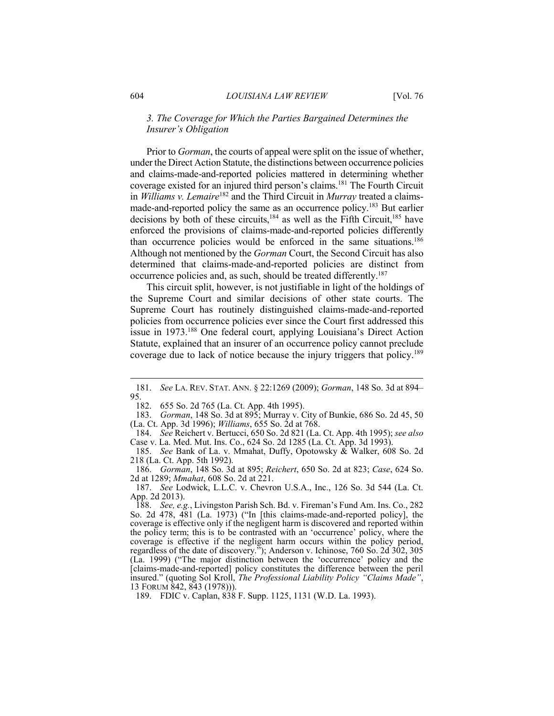#### *3. The Coverage for Which the Parties Bargained Determines the Insurer's Obligation*

Prior to *Gorman*, the courts of appeal were split on the issue of whether, under the Direct Action Statute, the distinctions between occurrence policies and claims-made-and-reported policies mattered in determining whether coverage existed for an injured third person's claims.181 The Fourth Circuit in *Williams v. Lemaire*182 and the Third Circuit in *Murray* treated a claimsmade-and-reported policy the same as an occurrence policy.<sup>183</sup> But earlier decisions by both of these circuits,<sup>184</sup> as well as the Fifth Circuit,<sup>185</sup> have enforced the provisions of claims-made-and-reported policies differently than occurrence policies would be enforced in the same situations.186 Although not mentioned by the *Gorman* Court, the Second Circuit has also determined that claims-made-and-reported policies are distinct from occurrence policies and, as such, should be treated differently.187

This circuit split, however, is not justifiable in light of the holdings of the Supreme Court and similar decisions of other state courts. The Supreme Court has routinely distinguished claims-made-and-reported policies from occurrence policies ever since the Court first addressed this issue in 1973.188 One federal court, applying Louisiana's Direct Action Statute, explained that an insurer of an occurrence policy cannot preclude coverage due to lack of notice because the injury triggers that policy.189

 <sup>181.</sup> *See* LA. REV. STAT. ANN. § 22:1269 (2009); *Gorman*, 148 So. 3d at 894–  $\frac{95}{182}$ .

 <sup>182. 655</sup> So. 2d 765 (La. Ct. App. 4th 1995).

 <sup>183.</sup> *Gorman*, 148 So. 3d at 895; Murray v. City of Bunkie, 686 So. 2d 45, 50 (La. Ct. App. 3d 1996); *Williams*, 655 So. 2d at 768.

 <sup>184.</sup> *See* Reichert v. Bertucci, 650 So. 2d 821 (La. Ct. App. 4th 1995); *see also*  Case v. La. Med. Mut. Ins. Co., 624 So. 2d 1285 (La. Ct. App. 3d 1993).

 <sup>185.</sup> *See* Bank of La. v. Mmahat, Duffy, Opotowsky & Walker, 608 So. 2d 218 (La. Ct. App. 5th 1992).

 <sup>186.</sup> *Gorman*, 148 So. 3d at 895; *Reichert*, 650 So. 2d at 823; *Case*, 624 So. 2d at 1289; *Mmahat*, 608 So. 2d at 221.

 <sup>187.</sup> *See* Lodwick, L.L.C. v. Chevron U.S.A., Inc., 126 So. 3d 544 (La. Ct. App. 2d 2013).

 <sup>188.</sup> *See, e.g.*, Livingston Parish Sch. Bd. v. Fireman's Fund Am. Ins. Co., 282 So. 2d 478, 481 (La. 1973) ("In [this claims-made-and-reported policy], the coverage is effective only if the negligent harm is discovered and reported within the policy term; this is to be contrasted with an 'occurrence' policy, where the coverage is effective if the negligent harm occurs within the policy period, regardless of the date of discovery."); Anderson v. Ichinose, 760 So. 2d 302, 305 (La. 1999) ("The major distinction between the 'occurrence' policy and the [claims-made-and-reported] policy constitutes the difference between the peril insured." (quoting Sol Kroll, *The Professional Liability Policy "Claims Made"*, 13 FORUM 842, 843 (1978))).

 <sup>189.</sup> FDIC v. Caplan, 838 F. Supp. 1125, 1131 (W.D. La. 1993).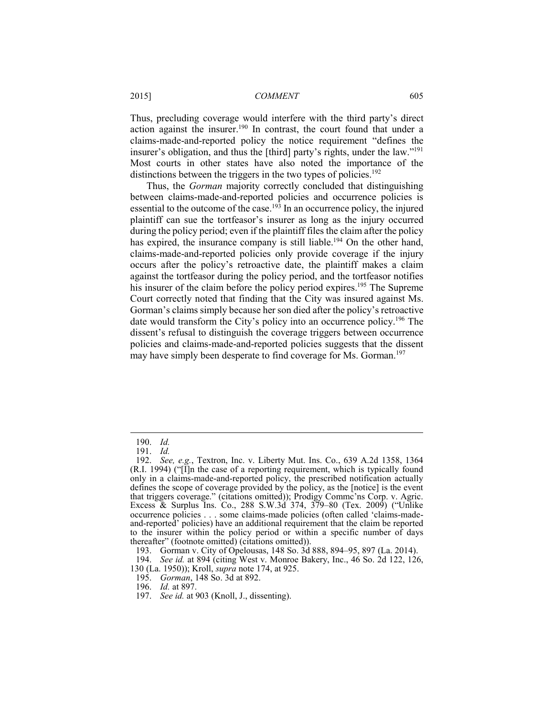Thus, precluding coverage would interfere with the third party's direct action against the insurer.190 In contrast, the court found that under a claims-made-and-reported policy the notice requirement "defines the insurer's obligation, and thus the [third] party's rights, under the law."191 Most courts in other states have also noted the importance of the distinctions between the triggers in the two types of policies.<sup>192</sup>

Thus, the *Gorman* majority correctly concluded that distinguishing between claims-made-and-reported policies and occurrence policies is essential to the outcome of the case.<sup>193</sup> In an occurrence policy, the injured plaintiff can sue the tortfeasor's insurer as long as the injury occurred during the policy period; even if the plaintiff files the claim after the policy has expired, the insurance company is still liable.<sup>194</sup> On the other hand, claims-made-and-reported policies only provide coverage if the injury occurs after the policy's retroactive date, the plaintiff makes a claim against the tortfeasor during the policy period, and the tortfeasor notifies his insurer of the claim before the policy period expires.<sup>195</sup> The Supreme Court correctly noted that finding that the City was insured against Ms. Gorman's claims simply because her son died after the policy's retroactive date would transform the City's policy into an occurrence policy.196 The dissent's refusal to distinguish the coverage triggers between occurrence policies and claims-made-and-reported policies suggests that the dissent may have simply been desperate to find coverage for Ms. Gorman.<sup>197</sup>

 <sup>190.</sup> *Id.*

 <sup>191.</sup> *Id.*

 <sup>192.</sup> *See, e.g.*, Textron, Inc. v. Liberty Mut. Ins. Co., 639 A.2d 1358, 1364 (R.I. 1994) ("[I]n the case of a reporting requirement, which is typically found only in a claims-made-and-reported policy, the prescribed notification actually defines the scope of coverage provided by the policy, as the [notice] is the event that triggers coverage." (citations omitted)); Prodigy Commc'ns Corp. v. Agric. Excess & Surplus Ins. Co., 288 S.W.3d 374, 379–80 (Tex. 2009) ("Unlike occurrence policies . . . some claims-made policies (often called 'claims-madeand-reported' policies) have an additional requirement that the claim be reported to the insurer within the policy period or within a specific number of days thereafter" (footnote omitted) (citations omitted)).

 <sup>193.</sup> Gorman v. City of Opelousas, 148 So. 3d 888, 894–95, 897 (La. 2014).

 <sup>194.</sup> *See id.* at 894 (citing West v. Monroe Bakery, Inc., 46 So. 2d 122, 126, 130 (La. 1950)); Kroll, *supra* note 174, at 925.

 <sup>195.</sup> *Gorman*, 148 So. 3d at 892.

 <sup>196.</sup> *Id.* at 897.

 <sup>197.</sup> *See id.* at 903 (Knoll, J., dissenting).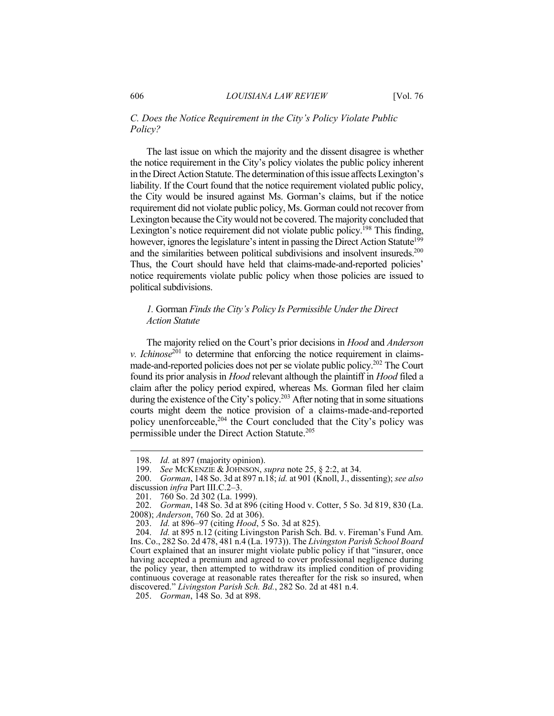#### *C. Does the Notice Requirement in the City's Policy Violate Public Policy?*

The last issue on which the majority and the dissent disagree is whether the notice requirement in the City's policy violates the public policy inherent in the Direct Action Statute. The determination of this issue affects Lexington's liability. If the Court found that the notice requirement violated public policy, the City would be insured against Ms. Gorman's claims, but if the notice requirement did not violate public policy, Ms. Gorman could not recover from Lexington because the City would not be covered. The majority concluded that Lexington's notice requirement did not violate public policy.<sup>198</sup> This finding, however, ignores the legislature's intent in passing the Direct Action Statute<sup>199</sup> and the similarities between political subdivisions and insolvent insureds.<sup>200</sup> Thus, the Court should have held that claims-made-and-reported policies' notice requirements violate public policy when those policies are issued to political subdivisions.

#### *1.* Gorman *Finds the City's Policy Is Permissible Under the Direct Action Statute*

The majority relied on the Court's prior decisions in *Hood* and *Anderson v. Ichinose*<sup>201</sup> to determine that enforcing the notice requirement in claimsmade-and-reported policies does not per se violate public policy.202 The Court found its prior analysis in *Hood* relevant although the plaintiff in *Hood* filed a claim after the policy period expired, whereas Ms. Gorman filed her claim during the existence of the City's policy.<sup>203</sup> After noting that in some situations courts might deem the notice provision of a claims-made-and-reported policy unenforceable,<sup>204</sup> the Court concluded that the City's policy was permissible under the Direct Action Statute.<sup>205</sup>

 <sup>198.</sup> *Id.* at 897 (majority opinion).

 <sup>199.</sup> *See* MCKENZIE & JOHNSON, *supra* note 25, § 2:2, at 34.

 <sup>200.</sup> *Gorman*, 148 So. 3d at 897 n.18; *id.* at 901 (Knoll, J., dissenting); *see also*  discussion *infra* Part III.C.2–3.

 <sup>201. 760</sup> So. 2d 302 (La. 1999).

 <sup>202.</sup> *Gorman*, 148 So. 3d at 896 (citing Hood v. Cotter, 5 So. 3d 819, 830 (La. 2008); *Anderson*, 760 So. 2d at 306).

 <sup>203.</sup> *Id.* at 896–97 (citing *Hood*, 5 So. 3d at 825).

 <sup>204.</sup> *Id.* at 895 n.12 (citing Livingston Parish Sch. Bd. v. Fireman's Fund Am. Ins. Co., 282 So. 2d 478, 481 n.4 (La. 1973)). The *Livingston Parish School Board* Court explained that an insurer might violate public policy if that "insurer, once having accepted a premium and agreed to cover professional negligence during the policy year, then attempted to withdraw its implied condition of providing continuous coverage at reasonable rates thereafter for the risk so insured, when discovered." *Livingston Parish Sch. Bd.*, 282 So. 2d at 481 n.4.

 <sup>205.</sup> *Gorman*, 148 So. 3d at 898.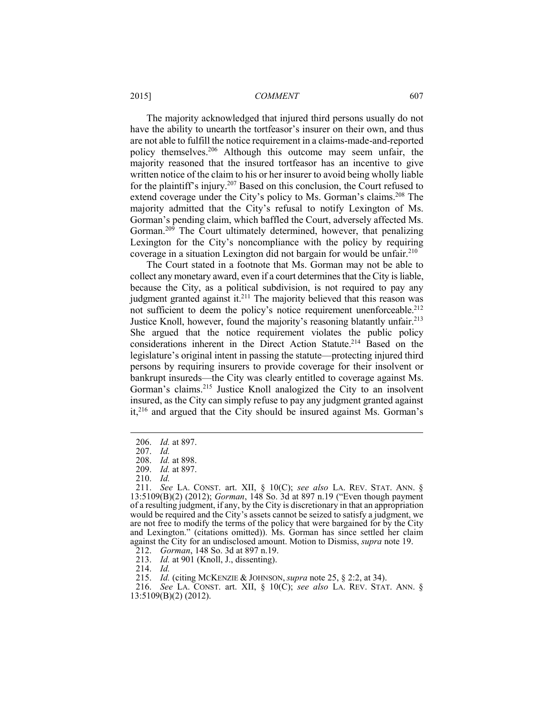The majority acknowledged that injured third persons usually do not have the ability to unearth the tortfeasor's insurer on their own, and thus are not able to fulfill the notice requirement in a claims-made-and-reported policy themselves.206 Although this outcome may seem unfair, the majority reasoned that the insured tortfeasor has an incentive to give written notice of the claim to his or her insurer to avoid being wholly liable for the plaintiff's injury.207 Based on this conclusion, the Court refused to extend coverage under the City's policy to Ms. Gorman's claims.<sup>208</sup> The majority admitted that the City's refusal to notify Lexington of Ms. Gorman's pending claim, which baffled the Court, adversely affected Ms. Gorman.<sup>209</sup> The Court ultimately determined, however, that penalizing Lexington for the City's noncompliance with the policy by requiring coverage in a situation Lexington did not bargain for would be unfair.<sup>210</sup>

The Court stated in a footnote that Ms. Gorman may not be able to collect any monetary award, even if a court determines that the City is liable, because the City, as a political subdivision, is not required to pay any judgment granted against it.<sup>211</sup> The majority believed that this reason was not sufficient to deem the policy's notice requirement unenforceable.<sup>212</sup> Justice Knoll, however, found the majority's reasoning blatantly unfair.<sup>213</sup> She argued that the notice requirement violates the public policy considerations inherent in the Direct Action Statute.<sup>214</sup> Based on the legislature's original intent in passing the statute—protecting injured third persons by requiring insurers to provide coverage for their insolvent or bankrupt insureds—the City was clearly entitled to coverage against Ms. Gorman's claims.<sup>215</sup> Justice Knoll analogized the City to an insolvent insured, as the City can simply refuse to pay any judgment granted against it,216 and argued that the City should be insured against Ms. Gorman's

 <sup>206.</sup> *Id.* at 897.

 <sup>207.</sup> *Id.*

 <sup>208.</sup> *Id.* at 898.

 <sup>209.</sup> *Id.* at 897.

 <sup>210.</sup> *Id.*

 <sup>211.</sup> *See* LA. CONST. art. XII, § 10(C); *see also* LA. REV. STAT. ANN. § 13:5109(B)(2) (2012); *Gorman*, 148 So. 3d at 897 n.19 ("Even though payment of a resulting judgment, if any, by the City is discretionary in that an appropriation would be required and the City's assets cannot be seized to satisfy a judgment, we are not free to modify the terms of the policy that were bargained for by the City and Lexington." (citations omitted)). Ms. Gorman has since settled her claim against the City for an undisclosed amount. Motion to Dismiss, *supra* note 19.

 <sup>212.</sup> *Gorman*, 148 So. 3d at 897 n.19.

 <sup>213.</sup> *Id.* at 901 (Knoll, J., dissenting).

 <sup>214.</sup> *Id.*

 <sup>215.</sup> *Id.* (citing MCKENZIE & JOHNSON, *supra* note 25, § 2:2, at 34).

 <sup>216.</sup> *See* LA. CONST. art. XII, § 10(C); *see also* LA. REV. STAT. ANN. § 13:5109(B)(2) (2012).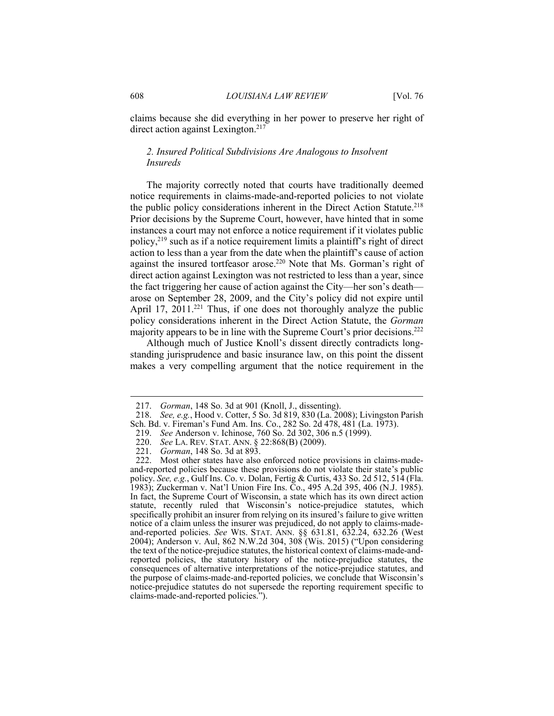claims because she did everything in her power to preserve her right of direct action against Lexington.<sup>217</sup>

#### *2. Insured Political Subdivisions Are Analogous to Insolvent Insureds*

The majority correctly noted that courts have traditionally deemed notice requirements in claims-made-and-reported policies to not violate the public policy considerations inherent in the Direct Action Statute.<sup>218</sup> Prior decisions by the Supreme Court, however, have hinted that in some instances a court may not enforce a notice requirement if it violates public policy,219 such as if a notice requirement limits a plaintiff's right of direct action to less than a year from the date when the plaintiff's cause of action against the insured tortfeasor arose.<sup>220</sup> Note that Ms. Gorman's right of direct action against Lexington was not restricted to less than a year, since the fact triggering her cause of action against the City—her son's death arose on September 28, 2009, and the City's policy did not expire until April 17,  $2011.^{221}$  Thus, if one does not thoroughly analyze the public policy considerations inherent in the Direct Action Statute, the *Gorman* majority appears to be in line with the Supreme Court's prior decisions.<sup>222</sup>

Although much of Justice Knoll's dissent directly contradicts longstanding jurisprudence and basic insurance law, on this point the dissent makes a very compelling argument that the notice requirement in the

219. *See* Anderson v. Ichinose, 760 So. 2d 302, 306 n.5 (1999).

 <sup>217.</sup> *Gorman*, 148 So. 3d at 901 (Knoll, J., dissenting).

 <sup>218.</sup> *See, e.g.*, Hood v. Cotter, 5 So. 3d 819, 830 (La. 2008); Livingston Parish Sch. Bd. v. Fireman's Fund Am. Ins. Co., 282 So. 2d 478, 481 (La. 1973).

 <sup>220.</sup> *See* LA. REV. STAT. ANN. § 22:868(B) (2009).

 <sup>221.</sup> *Gorman*, 148 So. 3d at 893.

 <sup>222.</sup> Most other states have also enforced notice provisions in claims-madeand-reported policies because these provisions do not violate their state's public policy. *See, e.g.*, Gulf Ins. Co. v. Dolan, Fertig & Curtis, 433 So. 2d 512, 514 (Fla. 1983); Zuckerman v. Nat'l Union Fire Ins. Co., 495 A.2d 395, 406 (N.J. 1985). In fact, the Supreme Court of Wisconsin, a state which has its own direct action statute, recently ruled that Wisconsin's notice-prejudice statutes, which specifically prohibit an insurer from relying on its insured's failure to give written notice of a claim unless the insurer was prejudiced, do not apply to claims-madeand-reported policies. *See* WIS. STAT. ANN. §§ 631.81, 632.24, 632.26 (West 2004); Anderson v. Aul, 862 N.W.2d 304, 308 (Wis. 2015) ("Upon considering the text of the notice-prejudice statutes, the historical context of claims-made-andreported policies, the statutory history of the notice-prejudice statutes, the consequences of alternative interpretations of the notice-prejudice statutes, and the purpose of claims-made-and-reported policies, we conclude that Wisconsin's notice-prejudice statutes do not supersede the reporting requirement specific to claims-made-and-reported policies.").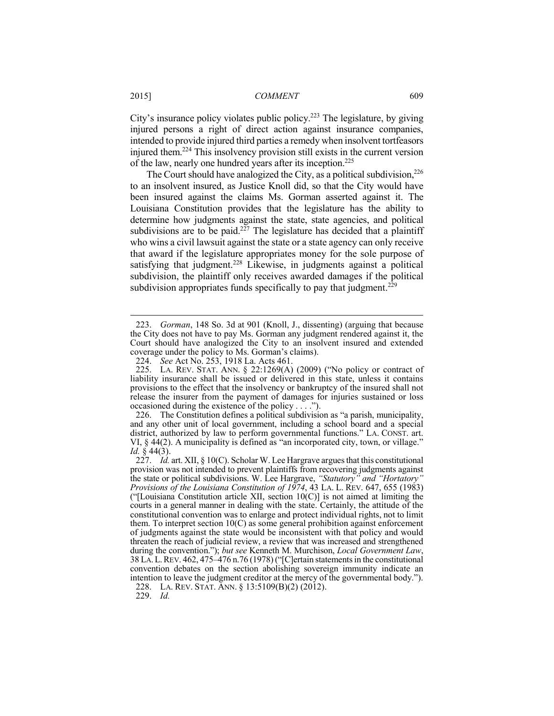City's insurance policy violates public policy.223 The legislature, by giving injured persons a right of direct action against insurance companies, intended to provide injured third parties a remedy when insolvent tortfeasors injured them.224 This insolvency provision still exists in the current version of the law, nearly one hundred years after its inception.225

The Court should have analogized the City, as a political subdivision, $226$ to an insolvent insured, as Justice Knoll did, so that the City would have been insured against the claims Ms. Gorman asserted against it. The Louisiana Constitution provides that the legislature has the ability to determine how judgments against the state, state agencies, and political subdivisions are to be paid.<sup>227</sup> The legislature has decided that a plaintiff who wins a civil lawsuit against the state or a state agency can only receive that award if the legislature appropriates money for the sole purpose of satisfying that judgment.<sup>228</sup> Likewise, in judgments against a political subdivision, the plaintiff only receives awarded damages if the political subdivision appropriates funds specifically to pay that judgment.<sup>229</sup>

 <sup>223.</sup> *Gorman*, 148 So. 3d at 901 (Knoll, J., dissenting) (arguing that because the City does not have to pay Ms. Gorman any judgment rendered against it, the Court should have analogized the City to an insolvent insured and extended coverage under the policy to Ms. Gorman's claims).

 <sup>224.</sup> *See* Act No. 253, 1918 La. Acts 461.

 <sup>225.</sup> LA. REV. STAT. ANN. § 22:1269(A) (2009) ("No policy or contract of liability insurance shall be issued or delivered in this state, unless it contains provisions to the effect that the insolvency or bankruptcy of the insured shall not release the insurer from the payment of damages for injuries sustained or loss occasioned during the existence of the policy . . . .").

 <sup>226.</sup> The Constitution defines a political subdivision as "a parish, municipality, and any other unit of local government, including a school board and a special district, authorized by law to perform governmental functions." LA. CONST. art. VI, § 44(2). A municipality is defined as "an incorporated city, town, or village." *Id.* § 44(3).

 <sup>227.</sup> *Id.* art. XII, § 10(C). Scholar W. Lee Hargrave argues that this constitutional provision was not intended to prevent plaintiffs from recovering judgments against the state or political subdivisions. W. Lee Hargrave, *"Statutory" and "Hortatory" Provisions of the Louisiana Constitution of 1974*, 43 LA. L. REV. 647, 655 (1983) ("[Louisiana Constitution article XII, section  $10(C)$ ] is not aimed at limiting the courts in a general manner in dealing with the state. Certainly, the attitude of the constitutional convention was to enlarge and protect individual rights, not to limit them. To interpret section 10(C) as some general prohibition against enforcement of judgments against the state would be inconsistent with that policy and would threaten the reach of judicial review, a review that was increased and strengthened during the convention."); *but see* Kenneth M. Murchison, *Local Government Law*, 38 LA. L. REV. 462, 475–476 n. 76 (1978) ("[C]ertain statements in the constitutional convention debates on the section abolishing sovereign immunity indicate an intention to leave the judgment creditor at the mercy of the governmental body.").

 <sup>228.</sup> LA. REV. STAT. ANN. § 13:5109(B)(2) (2012).

 <sup>229.</sup> *Id.*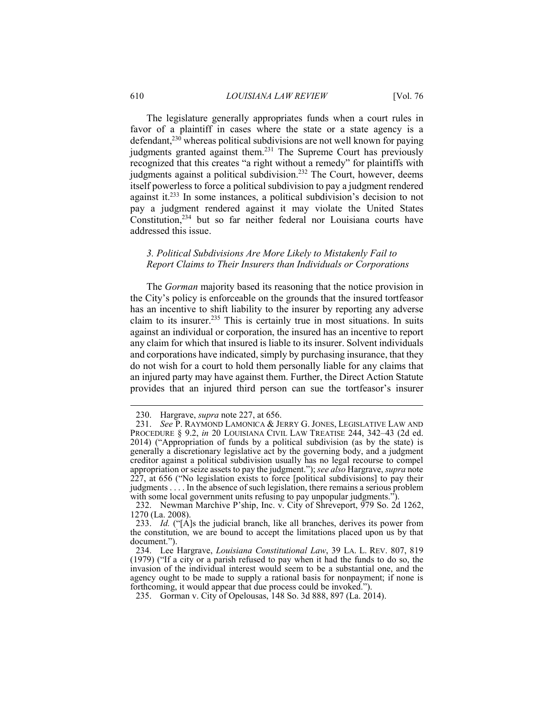The legislature generally appropriates funds when a court rules in favor of a plaintiff in cases where the state or a state agency is a defendant, $230$  whereas political subdivisions are not well known for paying judgments granted against them.<sup>231</sup> The Supreme Court has previously recognized that this creates "a right without a remedy" for plaintiffs with judgments against a political subdivision.232 The Court, however, deems itself powerless to force a political subdivision to pay a judgment rendered against it.233 In some instances, a political subdivision's decision to not pay a judgment rendered against it may violate the United States Constitution,234 but so far neither federal nor Louisiana courts have addressed this issue.

#### *3. Political Subdivisions Are More Likely to Mistakenly Fail to Report Claims to Their Insurers than Individuals or Corporations*

The *Gorman* majority based its reasoning that the notice provision in the City's policy is enforceable on the grounds that the insured tortfeasor has an incentive to shift liability to the insurer by reporting any adverse claim to its insurer.235 This is certainly true in most situations. In suits against an individual or corporation, the insured has an incentive to report any claim for which that insured is liable to its insurer. Solvent individuals and corporations have indicated, simply by purchasing insurance, that they do not wish for a court to hold them personally liable for any claims that an injured party may have against them. Further, the Direct Action Statute provides that an injured third person can sue the tortfeasor's insurer

 <sup>230.</sup> Hargrave, *supra* note 227, at 656.

 <sup>231.</sup> *See* P. RAYMOND LAMONICA & JERRY G. JONES, LEGISLATIVE LAW AND PROCEDURE § 9.2, *in* 20 LOUISIANA CIVIL LAW TREATISE 244, 342–43 (2d ed. 2014) ("Appropriation of funds by a political subdivision (as by the state) is generally a discretionary legislative act by the governing body, and a judgment creditor against a political subdivision usually has no legal recourse to compel appropriation or seize assets to pay the judgment."); *see also* Hargrave, *supra* note 227, at 656 ("No legislation exists to force [political subdivisions] to pay their judgments . . . . In the absence of such legislation, there remains a serious problem with some local government units refusing to pay unpopular judgments.").

 <sup>232.</sup> Newman Marchive P'ship, Inc. v. City of Shreveport, 979 So. 2d 1262, 1270 (La. 2008).

 <sup>233.</sup> *Id.* ("[A]s the judicial branch, like all branches, derives its power from the constitution, we are bound to accept the limitations placed upon us by that document.").

 <sup>234.</sup> Lee Hargrave, *Louisiana Constitutional Law*, 39 LA. L. REV. 807, 819 (1979) ("If a city or a parish refused to pay when it had the funds to do so, the invasion of the individual interest would seem to be a substantial one, and the agency ought to be made to supply a rational basis for nonpayment; if none is forthcoming, it would appear that due process could be invoked.").

 <sup>235.</sup> Gorman v. City of Opelousas, 148 So. 3d 888, 897 (La. 2014).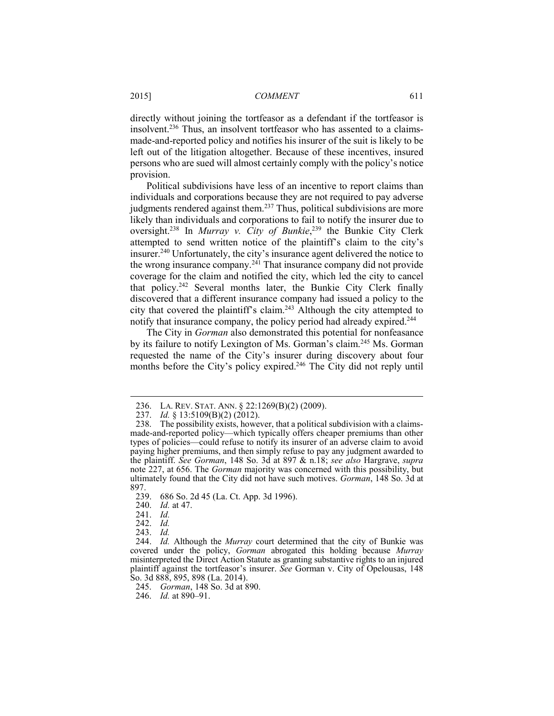directly without joining the tortfeasor as a defendant if the tortfeasor is insolvent.236 Thus, an insolvent tortfeasor who has assented to a claimsmade-and-reported policy and notifies his insurer of the suit is likely to be left out of the litigation altogether. Because of these incentives, insured persons who are sued will almost certainly comply with the policy's notice provision.

Political subdivisions have less of an incentive to report claims than individuals and corporations because they are not required to pay adverse judgments rendered against them.<sup>237</sup> Thus, political subdivisions are more likely than individuals and corporations to fail to notify the insurer due to oversight.238 In *Murray v. City of Bunkie*, 239 the Bunkie City Clerk attempted to send written notice of the plaintiff's claim to the city's insurer.240 Unfortunately, the city's insurance agent delivered the notice to the wrong insurance company.<sup>241</sup> That insurance company did not provide coverage for the claim and notified the city, which led the city to cancel that policy.242 Several months later, the Bunkie City Clerk finally discovered that a different insurance company had issued a policy to the city that covered the plaintiff's claim.243 Although the city attempted to notify that insurance company, the policy period had already expired.<sup>244</sup>

The City in *Gorman* also demonstrated this potential for nonfeasance by its failure to notify Lexington of Ms. Gorman's claim.245 Ms. Gorman requested the name of the City's insurer during discovery about four months before the City's policy expired.<sup>246</sup> The City did not reply until

 <sup>236.</sup> LA. REV. STAT. ANN. § 22:1269(B)(2) (2009).

 <sup>237.</sup> *Id.* § 13:5109(B)(2) (2012).

 <sup>238.</sup> The possibility exists, however, that a political subdivision with a claimsmade-and-reported policy—which typically offers cheaper premiums than other types of policies—could refuse to notify its insurer of an adverse claim to avoid paying higher premiums, and then simply refuse to pay any judgment awarded to the plaintiff. *See Gorman*, 148 So. 3d at 897 & n.18; *see also* Hargrave, *supra*  note 227, at 656. The *Gorman* majority was concerned with this possibility, but ultimately found that the City did not have such motives. *Gorman*, 148 So. 3d at 897.

 <sup>239. 686</sup> So. 2d 45 (La. Ct. App. 3d 1996).

 <sup>240.</sup> *Id.* at 47.

 <sup>241.</sup> *Id.*

 <sup>242.</sup> *Id.* 

 <sup>243.</sup> *Id.*

 <sup>244.</sup> *Id.* Although the *Murray* court determined that the city of Bunkie was covered under the policy, *Gorman* abrogated this holding because *Murray* misinterpreted the Direct Action Statute as granting substantive rights to an injured plaintiff against the tortfeasor's insurer. *See* Gorman v. City of Opelousas, 148 So. 3d 888, 895, 898 (La. 2014).

 <sup>245.</sup> *Gorman*, 148 So. 3d at 890.

 <sup>246.</sup> *Id.* at 890–91.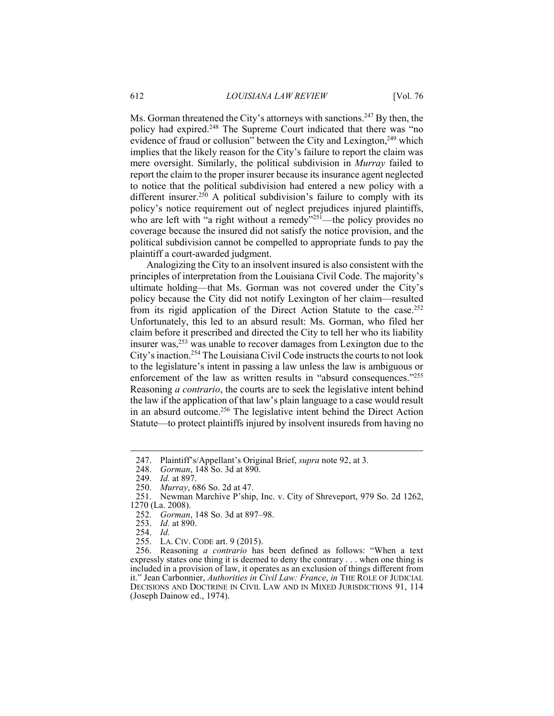Ms. Gorman threatened the City's attorneys with sanctions.<sup>247</sup> By then, the policy had expired.<sup>248</sup> The Supreme Court indicated that there was "no evidence of fraud or collusion" between the City and Lexington,<sup>249</sup> which implies that the likely reason for the City's failure to report the claim was mere oversight. Similarly, the political subdivision in *Murray* failed to report the claim to the proper insurer because its insurance agent neglected to notice that the political subdivision had entered a new policy with a different insurer.<sup>250</sup> A political subdivision's failure to comply with its policy's notice requirement out of neglect prejudices injured plaintiffs, who are left with  $\mathbf{a}$  right without a remedy $\mathbf{a}^{325}$ —the policy provides no coverage because the insured did not satisfy the notice provision, and the political subdivision cannot be compelled to appropriate funds to pay the plaintiff a court-awarded judgment.

Analogizing the City to an insolvent insured is also consistent with the principles of interpretation from the Louisiana Civil Code. The majority's ultimate holding—that Ms. Gorman was not covered under the City's policy because the City did not notify Lexington of her claim—resulted from its rigid application of the Direct Action Statute to the case.252 Unfortunately, this led to an absurd result: Ms. Gorman, who filed her claim before it prescribed and directed the City to tell her who its liability insurer was, $253$  was unable to recover damages from Lexington due to the City's inaction.254 The Louisiana Civil Code instructs the courts to not look to the legislature's intent in passing a law unless the law is ambiguous or enforcement of the law as written results in "absurd consequences."255 Reasoning *a contrario*, the courts are to seek the legislative intent behind the law if the application of that law's plain language to a case would result in an absurd outcome.256 The legislative intent behind the Direct Action Statute—to protect plaintiffs injured by insolvent insureds from having no

<u>.</u>

 256. Reasoning *a contrario* has been defined as follows: "When a text expressly states one thing it is deemed to deny the contrary . . . when one thing is included in a provision of law, it operates as an exclusion of things different from it." Jean Carbonnier, *Authorities in Civil Law: France*, *in* THE ROLE OF JUDICIAL DECISIONS AND DOCTRINE IN CIVIL LAW AND IN MIXED JURISDICTIONS 91, 114 (Joseph Dainow ed., 1974).

 <sup>247.</sup> Plaintiff's/Appellant's Original Brief, *supra* note 92, at 3.

 <sup>248.</sup> *Gorman*, 148 So. 3d at 890.

 <sup>249.</sup> *Id.* at 897.

 <sup>250.</sup> *Murray*, 686 So. 2d at 47. Newman Marchive P'ship, Inc. v. City of Shreveport, 979 So. 2d 1262, 1270 (La. 2008).

 <sup>252.</sup> *Gorman*, 148 So. 3d at 897–98.

 <sup>253.</sup> *Id.* at 890.

 <sup>254.</sup> *Id.*

 <sup>255.</sup> LA. CIV. CODE art. 9 (2015).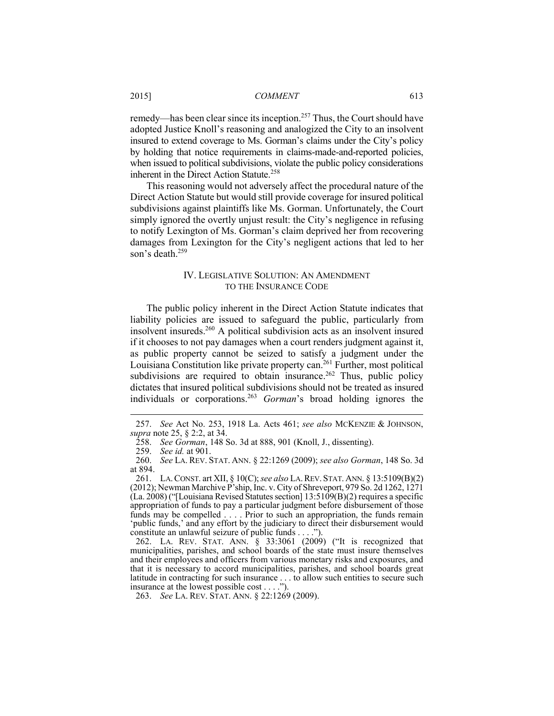remedy—has been clear since its inception.<sup>257</sup> Thus, the Court should have adopted Justice Knoll's reasoning and analogized the City to an insolvent insured to extend coverage to Ms. Gorman's claims under the City's policy by holding that notice requirements in claims-made-and-reported policies, when issued to political subdivisions, violate the public policy considerations inherent in the Direct Action Statute.<sup>258</sup>

This reasoning would not adversely affect the procedural nature of the Direct Action Statute but would still provide coverage for insured political subdivisions against plaintiffs like Ms. Gorman. Unfortunately, the Court simply ignored the overtly unjust result: the City's negligence in refusing to notify Lexington of Ms. Gorman's claim deprived her from recovering damages from Lexington for the City's negligent actions that led to her son's death.<sup>259</sup>

#### IV. LEGISLATIVE SOLUTION: AN AMENDMENT TO THE INSURANCE CODE

The public policy inherent in the Direct Action Statute indicates that liability policies are issued to safeguard the public, particularly from insolvent insureds.260 A political subdivision acts as an insolvent insured if it chooses to not pay damages when a court renders judgment against it, as public property cannot be seized to satisfy a judgment under the Louisiana Constitution like private property can.<sup>261</sup> Further, most political subdivisions are required to obtain insurance.<sup>262</sup> Thus, public policy dictates that insured political subdivisions should not be treated as insured individuals or corporations.263 *Gorman*'s broad holding ignores the

 <sup>257.</sup> *See* Act No. 253, 1918 La. Acts 461; *see also* MCKENZIE & JOHNSON, *supra* note 25, § 2:2, at 34.

 <sup>258.</sup> *See Gorman*, 148 So. 3d at 888, 901 (Knoll, J., dissenting).

 <sup>259.</sup> *See id.* at 901.

 <sup>260.</sup> *See* LA. REV. STAT. ANN. § 22:1269 (2009); *see also Gorman*, 148 So. 3d at 894.

 <sup>261.</sup> LA.CONST. art XII, § 10(C); *see also* LA.REV. STAT. ANN. § 13:5109(B)(2) (2012); Newman Marchive P'ship, Inc. v. City of Shreveport, 979 So. 2d 1262, 1271 (La. 2008) ("[Louisiana Revised Statutes section] 13:5109(B)(2) requires a specific appropriation of funds to pay a particular judgment before disbursement of those funds may be compelled . . . . Prior to such an appropriation, the funds remain 'public funds,' and any effort by the judiciary to direct their disbursement would constitute an unlawful seizure of public funds . . . .").

 <sup>262.</sup> LA. REV. STAT. ANN. § 33:3061 (2009) ("It is recognized that municipalities, parishes, and school boards of the state must insure themselves and their employees and officers from various monetary risks and exposures, and that it is necessary to accord municipalities, parishes, and school boards great latitude in contracting for such insurance . . . to allow such entities to secure such insurance at the lowest possible cost . . . .").

 <sup>263.</sup> *See* LA. REV. STAT. ANN. § 22:1269 (2009).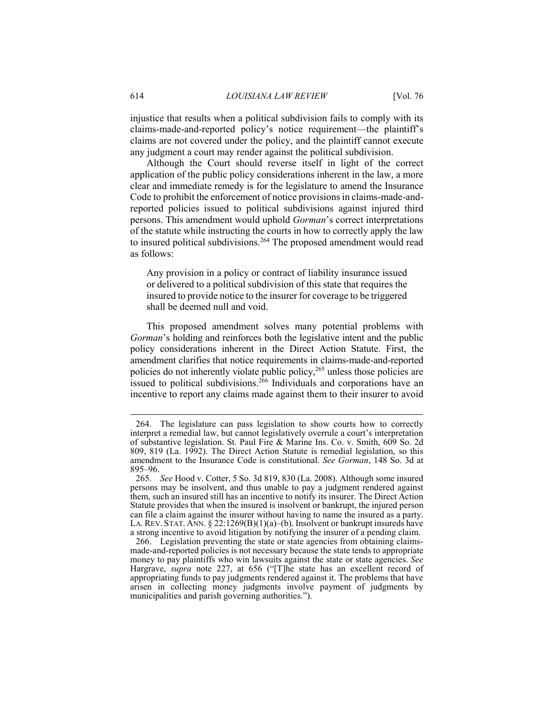injustice that results when a political subdivision fails to comply with its claims-made-and-reported policy's notice requirement—the plaintiff's claims are not covered under the policy, and the plaintiff cannot execute any judgment a court may render against the political subdivision.

Although the Court should reverse itself in light of the correct application of the public policy considerations inherent in the law, a more clear and immediate remedy is for the legislature to amend the Insurance Code to prohibit the enforcement of notice provisions in claims-made-andreported policies issued to political subdivisions against injured third persons. This amendment would uphold *Gorman*'s correct interpretations of the statute while instructing the courts in how to correctly apply the law to insured political subdivisions.<sup>264</sup> The proposed amendment would read as follows:

Any provision in a policy or contract of liability insurance issued or delivered to a political subdivision of this state that requires the insured to provide notice to the insurer for coverage to be triggered shall be deemed null and void.

This proposed amendment solves many potential problems with *Gorman*'s holding and reinforces both the legislative intent and the public policy considerations inherent in the Direct Action Statute. First, the amendment clarifies that notice requirements in claims-made-and-reported policies do not inherently violate public policy,<sup>265</sup> unless those policies are issued to political subdivisions.<sup>266</sup> Individuals and corporations have an incentive to report any claims made against them to their insurer to avoid

 <sup>264.</sup> The legislature can pass legislation to show courts how to correctly interpret a remedial law, but cannot legislatively overrule a court's interpretation of substantive legislation. St. Paul Fire & Marine Ins. Co. v. Smith, 609 So. 2d 809, 819 (La. 1992). The Direct Action Statute is remedial legislation, so this amendment to the Insurance Code is constitutional. *See Gorman*, 148 So. 3d at 895–96.

 <sup>265.</sup> *See* Hood v. Cotter, 5 So. 3d 819, 830 (La. 2008). Although some insured persons may be insolvent, and thus unable to pay a judgment rendered against them, such an insured still has an incentive to notify its insurer. The Direct Action Statute provides that when the insured is insolvent or bankrupt, the injured person can file a claim against the insurer without having to name the insured as a party. LA. REV. STAT. ANN. § 22:1269(B)(1)(a)–(b). Insolvent or bankrupt insureds have a strong incentive to avoid litigation by notifying the insurer of a pending claim.

 <sup>266.</sup> Legislation preventing the state or state agencies from obtaining claimsmade-and-reported policies is not necessary because the state tends to appropriate money to pay plaintiffs who win lawsuits against the state or state agencies. *See* Hargrave, *supra* note 227, at 656 ("[T]he state has an excellent record of appropriating funds to pay judgments rendered against it. The problems that have arisen in collecting money judgments involve payment of judgments by municipalities and parish governing authorities.").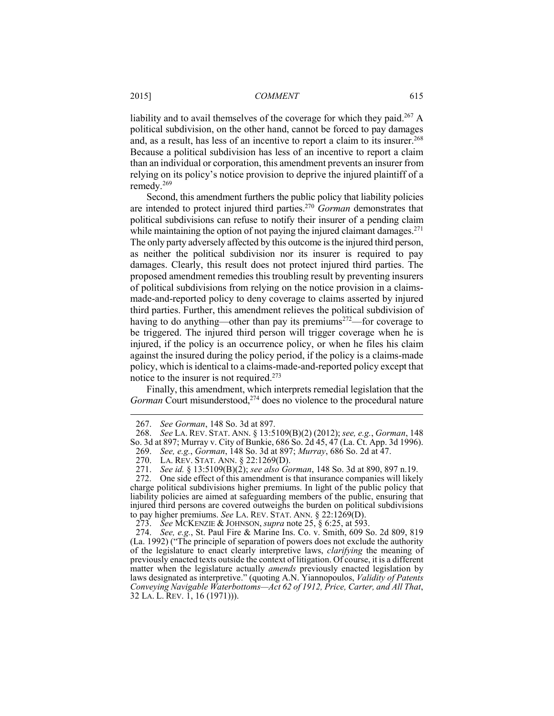liability and to avail themselves of the coverage for which they paid.<sup>267</sup> A political subdivision, on the other hand, cannot be forced to pay damages and, as a result, has less of an incentive to report a claim to its insurer.<sup>268</sup> Because a political subdivision has less of an incentive to report a claim than an individual or corporation, this amendment prevents an insurer from relying on its policy's notice provision to deprive the injured plaintiff of a remedy.269

Second, this amendment furthers the public policy that liability policies are intended to protect injured third parties.270 *Gorman* demonstrates that political subdivisions can refuse to notify their insurer of a pending claim while maintaining the option of not paying the injured claimant damages.<sup>271</sup> The only party adversely affected by this outcome is the injured third person, as neither the political subdivision nor its insurer is required to pay damages. Clearly, this result does not protect injured third parties. The proposed amendment remedies this troubling result by preventing insurers of political subdivisions from relying on the notice provision in a claimsmade-and-reported policy to deny coverage to claims asserted by injured third parties. Further, this amendment relieves the political subdivision of having to do anything—other than pay its premiums<sup>272</sup>—for coverage to be triggered. The injured third person will trigger coverage when he is injured, if the policy is an occurrence policy, or when he files his claim against the insured during the policy period, if the policy is a claims-made policy, which is identical to a claims-made-and-reported policy except that notice to the insurer is not required.273

Finally, this amendment, which interprets remedial legislation that the *Gorman* Court misunderstood,<sup>274</sup> does no violence to the procedural nature

 <sup>267.</sup> *See Gorman*, 148 So. 3d at 897.

 <sup>268.</sup> *See* LA. REV. STAT. ANN. § 13:5109(B)(2) (2012); *see, e.g.*, *Gorman*, 148 So. 3d at 897; Murray v. City of Bunkie, 686 So. 2d 45, 47 (La. Ct. App. 3d 1996).

 <sup>269.</sup> *See, e.g.*, *Gorman*, 148 So. 3d at 897; *Murray*, 686 So. 2d at 47.

 <sup>270.</sup> LA. REV. STAT. ANN. § 22:1269(D).

 <sup>271.</sup> *See id.* § 13:5109(B)(2); *see also Gorman*, 148 So. 3d at 890, 897 n.19.

 <sup>272.</sup> One side effect of this amendment is that insurance companies will likely charge political subdivisions higher premiums. In light of the public policy that liability policies are aimed at safeguarding members of the public, ensuring that injured third persons are covered outweighs the burden on political subdivisions to pay higher premiums. *See* LA. REV. STAT. ANN. § 22:1269(D).

 <sup>273.</sup> *See* MCKENZIE & JOHNSON, *supra* note 25, § 6:25, at 593.

 <sup>274.</sup> *See, e.g.*, St. Paul Fire & Marine Ins. Co. v. Smith, 609 So. 2d 809, 819 (La. 1992) ("The principle of separation of powers does not exclude the authority of the legislature to enact clearly interpretive laws, *clarifying* the meaning of previously enacted texts outside the context of litigation. Of course, it is a different matter when the legislature actually *amends* previously enacted legislation by laws designated as interpretive." (quoting A.N. Yiannopoulos, *Validity of Patents Conveying Navigable Waterbottoms—Act 62 of 1912, Price, Carter, and All That*, 32 LA. L. REV. 1, 16 (1971))).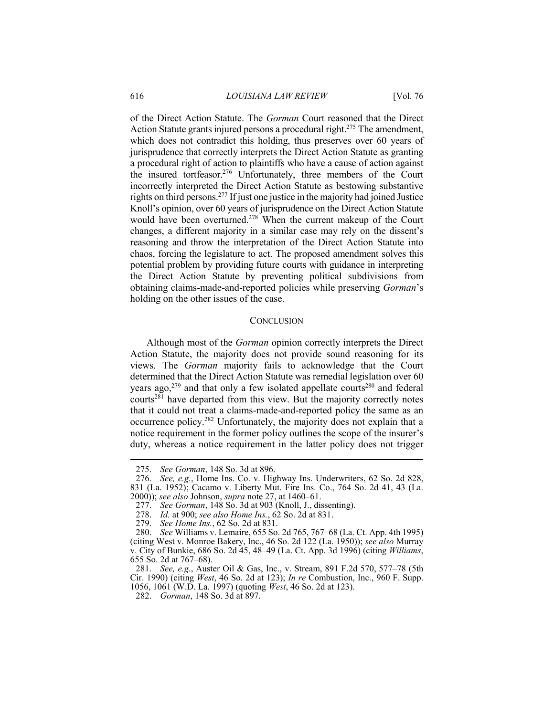of the Direct Action Statute. The *Gorman* Court reasoned that the Direct Action Statute grants injured persons a procedural right.275 The amendment, which does not contradict this holding, thus preserves over 60 years of jurisprudence that correctly interprets the Direct Action Statute as granting a procedural right of action to plaintiffs who have a cause of action against the insured tortfeasor.276 Unfortunately, three members of the Court incorrectly interpreted the Direct Action Statute as bestowing substantive rights on third persons.277 If just one justice in the majority had joined Justice Knoll's opinion, over 60 years of jurisprudence on the Direct Action Statute would have been overturned.<sup>278</sup> When the current makeup of the Court changes, a different majority in a similar case may rely on the dissent's reasoning and throw the interpretation of the Direct Action Statute into chaos, forcing the legislature to act. The proposed amendment solves this potential problem by providing future courts with guidance in interpreting the Direct Action Statute by preventing political subdivisions from obtaining claims-made-and-reported policies while preserving *Gorman*'s holding on the other issues of the case.

#### **CONCLUSION**

Although most of the *Gorman* opinion correctly interprets the Direct Action Statute, the majority does not provide sound reasoning for its views. The *Gorman* majority fails to acknowledge that the Court determined that the Direct Action Statute was remedial legislation over 60 years ago, $279$  and that only a few isolated appellate courts<sup>280</sup> and federal courts<sup>281</sup> have departed from this view. But the majority correctly notes that it could not treat a claims-made-and-reported policy the same as an occurrence policy.282 Unfortunately, the majority does not explain that a notice requirement in the former policy outlines the scope of the insurer's duty, whereas a notice requirement in the latter policy does not trigger

 <sup>275.</sup> *See Gorman*, 148 So. 3d at 896.

 <sup>276.</sup> *See, e.g.*, Home Ins. Co. v. Highway Ins. Underwriters, 62 So. 2d 828, 831 (La. 1952); Cacamo v. Liberty Mut. Fire Ins. Co., 764 So. 2d 41, 43 (La. 2000)); *see also* Johnson, *supra* note 27, at 1460–61.

 <sup>277.</sup> *See Gorman*, 148 So. 3d at 903 (Knoll, J., dissenting).

 <sup>278.</sup> *Id.* at 900; *see also Home Ins.*, 62 So. 2d at 831.

 <sup>279.</sup> *See Home Ins.*, 62 So. 2d at 831.

 <sup>280.</sup> *See* Williams v. Lemaire, 655 So. 2d 765, 767–68 (La. Ct. App. 4th 1995) (citing West v. Monroe Bakery, Inc., 46 So. 2d 122 (La. 1950)); *see also* Murray v. City of Bunkie, 686 So. 2d 45, 48–49 (La. Ct. App. 3d 1996) (citing *Williams*, 655 So. 2d at 767–68).

 <sup>281.</sup> *See, e.g.*, Auster Oil & Gas, Inc., v. Stream, 891 F.2d 570, 577–78 (5th Cir. 1990) (citing *West*, 46 So. 2d at 123); *In re* Combustion, Inc., 960 F. Supp. 1056, 1061 (W.D. La. 1997) (quoting *West*, 46 So. 2d at 123).

 <sup>282.</sup> *Gorman*, 148 So. 3d at 897.